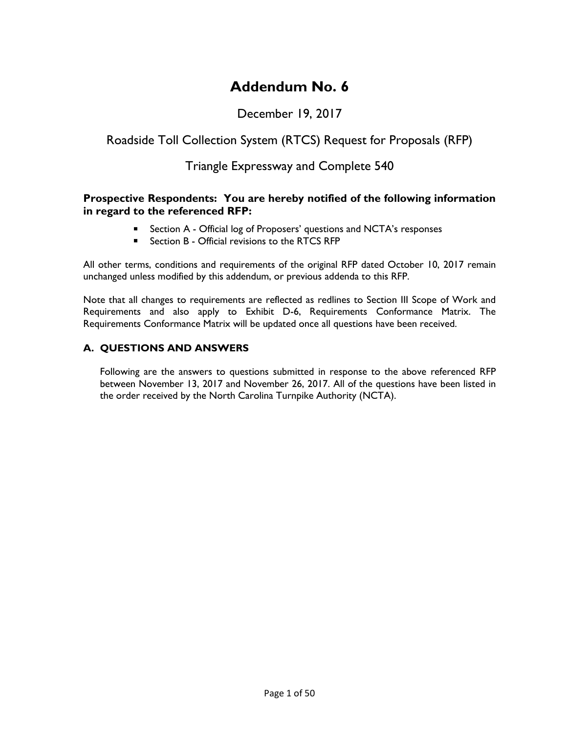# **Addendum No. 6**

# December 19, 2017

# Roadside Toll Collection System (RTCS) Request for Proposals (RFP)

# Triangle Expressway and Complete 540

## **Prospective Respondents: You are hereby notified of the following information in regard to the referenced RFP:**

- **E** Section A Official log of Proposers' questions and NCTA's responses
- Section B Official revisions to the RTCS RFP

All other terms, conditions and requirements of the original RFP dated October 10, 2017 remain unchanged unless modified by this addendum, or previous addenda to this RFP.

Note that all changes to requirements are reflected as redlines to Section III Scope of Work and Requirements and also apply to Exhibit D-6, Requirements Conformance Matrix. The Requirements Conformance Matrix will be updated once all questions have been received.

## **A. QUESTIONS AND ANSWERS**

Following are the answers to questions submitted in response to the above referenced RFP between November 13, 2017 and November 26, 2017. All of the questions have been listed in the order received by the North Carolina Turnpike Authority (NCTA).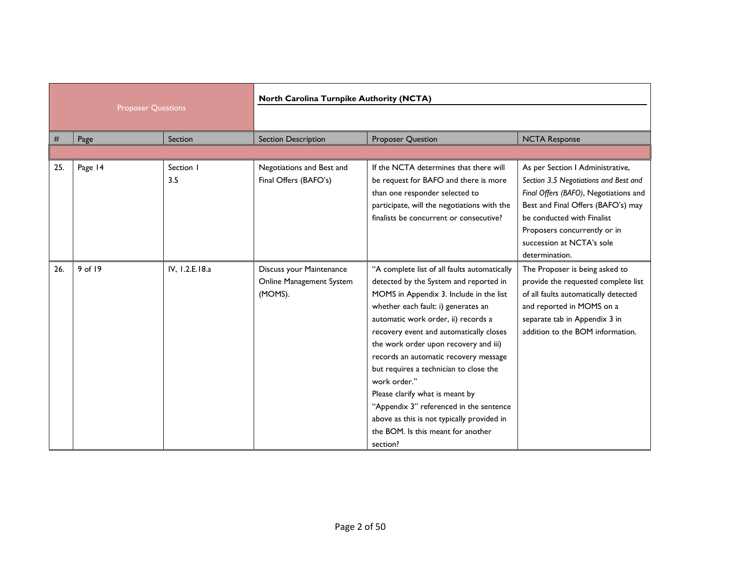|     |                           | North Carolina Turnpike Authority (NCTA) |                                                                 |                                                                                                                                                                                                                                                                                                                                                                                                                                                                                                                                                                                      |                                                                                                                                                                                                                                                                       |
|-----|---------------------------|------------------------------------------|-----------------------------------------------------------------|--------------------------------------------------------------------------------------------------------------------------------------------------------------------------------------------------------------------------------------------------------------------------------------------------------------------------------------------------------------------------------------------------------------------------------------------------------------------------------------------------------------------------------------------------------------------------------------|-----------------------------------------------------------------------------------------------------------------------------------------------------------------------------------------------------------------------------------------------------------------------|
|     | <b>Proposer Questions</b> |                                          |                                                                 |                                                                                                                                                                                                                                                                                                                                                                                                                                                                                                                                                                                      |                                                                                                                                                                                                                                                                       |
| #   | Page                      | Section                                  | <b>Section Description</b>                                      | <b>Proposer Question</b>                                                                                                                                                                                                                                                                                                                                                                                                                                                                                                                                                             | <b>NCTA Response</b>                                                                                                                                                                                                                                                  |
|     |                           |                                          |                                                                 |                                                                                                                                                                                                                                                                                                                                                                                                                                                                                                                                                                                      |                                                                                                                                                                                                                                                                       |
| 25. | Page 14                   | Section I<br>3.5                         | Negotiations and Best and<br>Final Offers (BAFO's)              | If the NCTA determines that there will<br>be request for BAFO and there is more<br>than one responder selected to<br>participate, will the negotiations with the<br>finalists be concurrent or consecutive?                                                                                                                                                                                                                                                                                                                                                                          | As per Section I Administrative,<br>Section 3.5 Negotiations and Best and<br>Final Offers (BAFO), Negotiations and<br>Best and Final Offers (BAFO's) may<br>be conducted with Finalist<br>Proposers concurrently or in<br>succession at NCTA's sole<br>determination. |
| 26. | 9 of 19                   | IV, 1.2.E.18.a                           | Discuss your Maintenance<br>Online Management System<br>(MOMS). | "A complete list of all faults automatically<br>detected by the System and reported in<br>MOMS in Appendix 3. Include in the list<br>whether each fault: i) generates an<br>automatic work order, ii) records a<br>recovery event and automatically closes<br>the work order upon recovery and iii)<br>records an automatic recovery message<br>but requires a technician to close the<br>work order."<br>Please clarify what is meant by<br>"Appendix 3" referenced in the sentence<br>above as this is not typically provided in<br>the BOM. Is this meant for another<br>section? | The Proposer is being asked to<br>provide the requested complete list<br>of all faults automatically detected<br>and reported in MOMS on a<br>separate tab in Appendix 3 in<br>addition to the BOM information.                                                       |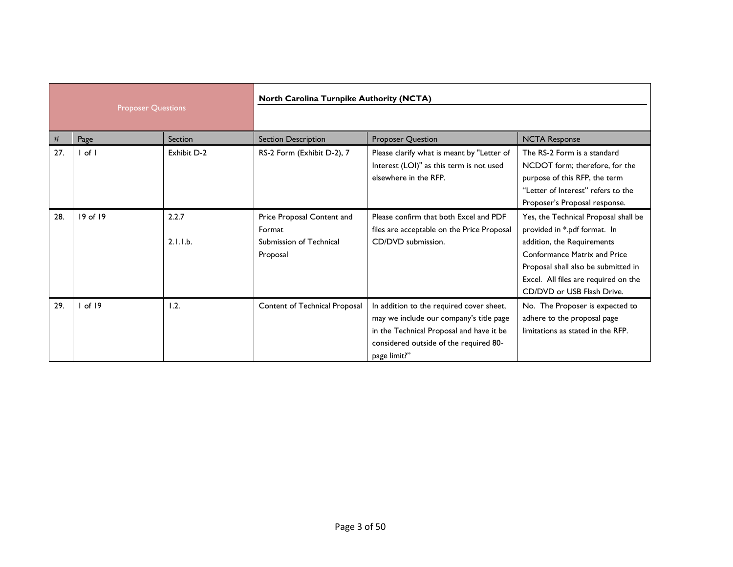|     |                           | North Carolina Turnpike Authority (NCTA) |                                                                             |                                                                                                                                                                                           |                                                                                                                                                                                                                                                        |
|-----|---------------------------|------------------------------------------|-----------------------------------------------------------------------------|-------------------------------------------------------------------------------------------------------------------------------------------------------------------------------------------|--------------------------------------------------------------------------------------------------------------------------------------------------------------------------------------------------------------------------------------------------------|
|     | <b>Proposer Questions</b> |                                          |                                                                             |                                                                                                                                                                                           |                                                                                                                                                                                                                                                        |
| #   | Page                      | Section                                  | <b>Section Description</b>                                                  | <b>Proposer Question</b>                                                                                                                                                                  | <b>NCTA Response</b>                                                                                                                                                                                                                                   |
| 27. | $ $ of $ $                | Exhibit D-2                              | RS-2 Form (Exhibit D-2), 7                                                  | Please clarify what is meant by "Letter of<br>Interest (LOI)" as this term is not used<br>elsewhere in the RFP.                                                                           | The RS-2 Form is a standard<br>NCDOT form; therefore, for the<br>purpose of this RFP, the term<br>"Letter of Interest" refers to the<br>Proposer's Proposal response.                                                                                  |
| 28. | $19$ of $19$              | 2.2.7<br>2.1.1.b.                        | Price Proposal Content and<br>Format<br>Submission of Technical<br>Proposal | Please confirm that both Excel and PDF<br>files are acceptable on the Price Proposal<br>CD/DVD submission.                                                                                | Yes, the Technical Proposal shall be<br>provided in *.pdf format. In<br>addition, the Requirements<br><b>Conformance Matrix and Price</b><br>Proposal shall also be submitted in<br>Excel. All files are required on the<br>CD/DVD or USB Flash Drive. |
| 29. | 1 of 19                   | 1.2.                                     | Content of Technical Proposal                                               | In addition to the required cover sheet,<br>may we include our company's title page<br>in the Technical Proposal and have it be<br>considered outside of the required 80-<br>page limit?" | No. The Proposer is expected to<br>adhere to the proposal page<br>limitations as stated in the RFP.                                                                                                                                                    |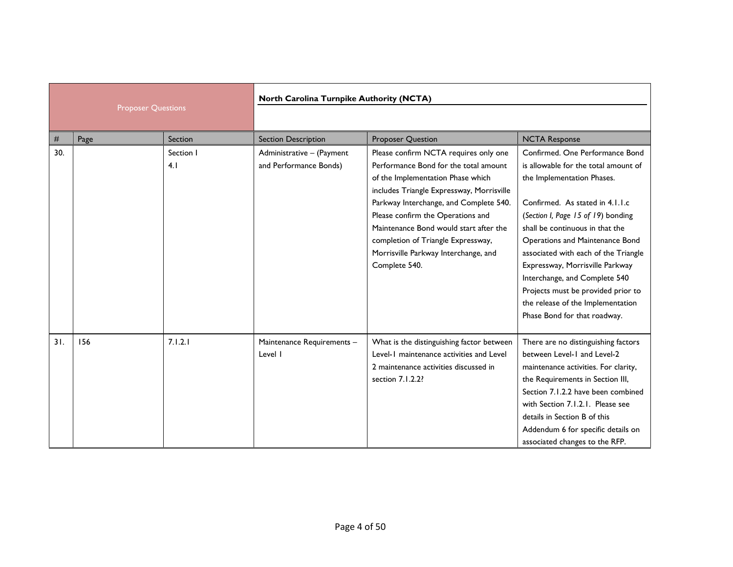| <b>Proposer Questions</b> |      | North Carolina Turnpike Authority (NCTA) |                                                     |                                                                                                                                                                                                                                                                                                                                                                                          |                                                                                                                                                                                                                                                                                                                                                                                                                                                                             |
|---------------------------|------|------------------------------------------|-----------------------------------------------------|------------------------------------------------------------------------------------------------------------------------------------------------------------------------------------------------------------------------------------------------------------------------------------------------------------------------------------------------------------------------------------------|-----------------------------------------------------------------------------------------------------------------------------------------------------------------------------------------------------------------------------------------------------------------------------------------------------------------------------------------------------------------------------------------------------------------------------------------------------------------------------|
| #                         | Page | Section                                  | <b>Section Description</b>                          | Proposer Question                                                                                                                                                                                                                                                                                                                                                                        | <b>NCTA Response</b>                                                                                                                                                                                                                                                                                                                                                                                                                                                        |
| 30.                       |      | Section I<br>4.1                         | Administrative - (Payment<br>and Performance Bonds) | Please confirm NCTA requires only one<br>Performance Bond for the total amount<br>of the Implementation Phase which<br>includes Triangle Expressway, Morrisville<br>Parkway Interchange, and Complete 540.<br>Please confirm the Operations and<br>Maintenance Bond would start after the<br>completion of Triangle Expressway,<br>Morrisville Parkway Interchange, and<br>Complete 540. | Confirmed. One Performance Bond<br>is allowable for the total amount of<br>the Implementation Phases.<br>Confirmed. As stated in 4.1.1.c<br>(Section I, Page 15 of 19) bonding<br>shall be continuous in that the<br>Operations and Maintenance Bond<br>associated with each of the Triangle<br>Expressway, Morrisville Parkway<br>Interchange, and Complete 540<br>Projects must be provided prior to<br>the release of the Implementation<br>Phase Bond for that roadway. |
| 31.                       | 156  | 7.1.2.1                                  | Maintenance Requirements -<br>Level I               | What is the distinguishing factor between<br>Level-1 maintenance activities and Level<br>2 maintenance activities discussed in<br>section 7.1.2.2?                                                                                                                                                                                                                                       | There are no distinguishing factors<br>between Level-1 and Level-2<br>maintenance activities. For clarity,<br>the Requirements in Section III,<br>Section 7.1.2.2 have been combined<br>with Section 7.1.2.1. Please see<br>details in Section B of this<br>Addendum 6 for specific details on<br>associated changes to the RFP.                                                                                                                                            |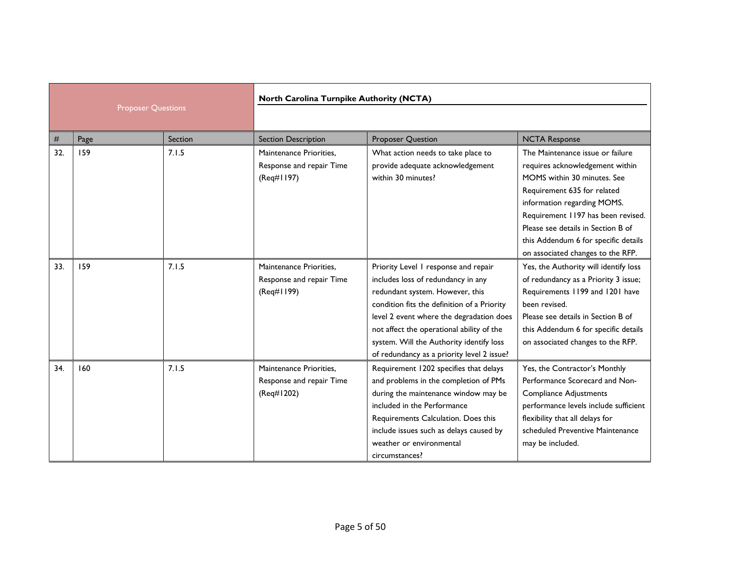|     |                           | North Carolina Turnpike Authority (NCTA) |                                                                   |                                                                                                                                                                                                                                                                                                                                                 |                                                                                                                                                                                                                                                                                                                           |
|-----|---------------------------|------------------------------------------|-------------------------------------------------------------------|-------------------------------------------------------------------------------------------------------------------------------------------------------------------------------------------------------------------------------------------------------------------------------------------------------------------------------------------------|---------------------------------------------------------------------------------------------------------------------------------------------------------------------------------------------------------------------------------------------------------------------------------------------------------------------------|
|     | <b>Proposer Questions</b> |                                          |                                                                   |                                                                                                                                                                                                                                                                                                                                                 |                                                                                                                                                                                                                                                                                                                           |
| #   | Page                      | Section                                  | <b>Section Description</b>                                        | Proposer Question                                                                                                                                                                                                                                                                                                                               | <b>NCTA Response</b>                                                                                                                                                                                                                                                                                                      |
| 32. | 159                       | 7.1.5                                    | Maintenance Priorities.<br>Response and repair Time<br>(Req#1197) | What action needs to take place to<br>provide adequate acknowledgement<br>within 30 minutes?                                                                                                                                                                                                                                                    | The Maintenance issue or failure<br>requires acknowledgement within<br>MOMS within 30 minutes. See<br>Requirement 635 for related<br>information regarding MOMS.<br>Requirement 1197 has been revised.<br>Please see details in Section B of<br>this Addendum 6 for specific details<br>on associated changes to the RFP. |
| 33. | 159                       | 7.1.5                                    | Maintenance Priorities,<br>Response and repair Time<br>(Req#1199) | Priority Level 1 response and repair<br>includes loss of redundancy in any<br>redundant system. However, this<br>condition fits the definition of a Priority<br>level 2 event where the degradation does<br>not affect the operational ability of the<br>system. Will the Authority identify loss<br>of redundancy as a priority level 2 issue? | Yes, the Authority will identify loss<br>of redundancy as a Priority 3 issue;<br>Requirements 1199 and 1201 have<br>been revised.<br>Please see details in Section B of<br>this Addendum 6 for specific details<br>on associated changes to the RFP.                                                                      |
| 34. | 160                       | 7.1.5                                    | Maintenance Priorities,<br>Response and repair Time<br>(Req#1202) | Requirement 1202 specifies that delays<br>and problems in the completion of PMs<br>during the maintenance window may be<br>included in the Performance<br>Requirements Calculation. Does this<br>include issues such as delays caused by<br>weather or environmental<br>circumstances?                                                          | Yes, the Contractor's Monthly<br>Performance Scorecard and Non-<br><b>Compliance Adjustments</b><br>performance levels include sufficient<br>flexibility that all delays for<br>scheduled Preventive Maintenance<br>may be included.                                                                                      |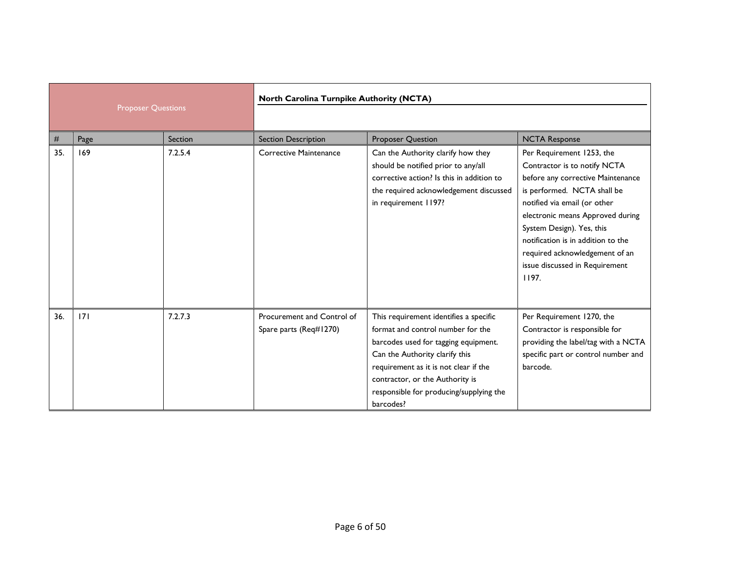|     |                           |         | North Carolina Turnpike Authority (NCTA)             |                                                                                                                                                                                                                                                                                           |                                                                                                                                                                                                                                                                                                                                                   |
|-----|---------------------------|---------|------------------------------------------------------|-------------------------------------------------------------------------------------------------------------------------------------------------------------------------------------------------------------------------------------------------------------------------------------------|---------------------------------------------------------------------------------------------------------------------------------------------------------------------------------------------------------------------------------------------------------------------------------------------------------------------------------------------------|
|     | <b>Proposer Questions</b> |         |                                                      |                                                                                                                                                                                                                                                                                           |                                                                                                                                                                                                                                                                                                                                                   |
| #   | Page                      | Section | <b>Section Description</b>                           | <b>Proposer Question</b>                                                                                                                                                                                                                                                                  | <b>NCTA Response</b>                                                                                                                                                                                                                                                                                                                              |
| 35. | 169                       | 7.2.5.4 | Corrective Maintenance                               | Can the Authority clarify how they<br>should be notified prior to any/all<br>corrective action? Is this in addition to<br>the required acknowledgement discussed<br>in requirement 1197?                                                                                                  | Per Requirement 1253, the<br>Contractor is to notify NCTA<br>before any corrective Maintenance<br>is performed. NCTA shall be<br>notified via email (or other<br>electronic means Approved during<br>System Design). Yes, this<br>notification is in addition to the<br>required acknowledgement of an<br>issue discussed in Requirement<br>1197. |
| 36. | 7                         | 7.2.7.3 | Procurement and Control of<br>Spare parts (Req#1270) | This requirement identifies a specific<br>format and control number for the<br>barcodes used for tagging equipment.<br>Can the Authority clarify this<br>requirement as it is not clear if the<br>contractor, or the Authority is<br>responsible for producing/supplying the<br>barcodes? | Per Requirement 1270, the<br>Contractor is responsible for<br>providing the label/tag with a NCTA<br>specific part or control number and<br>barcode.                                                                                                                                                                                              |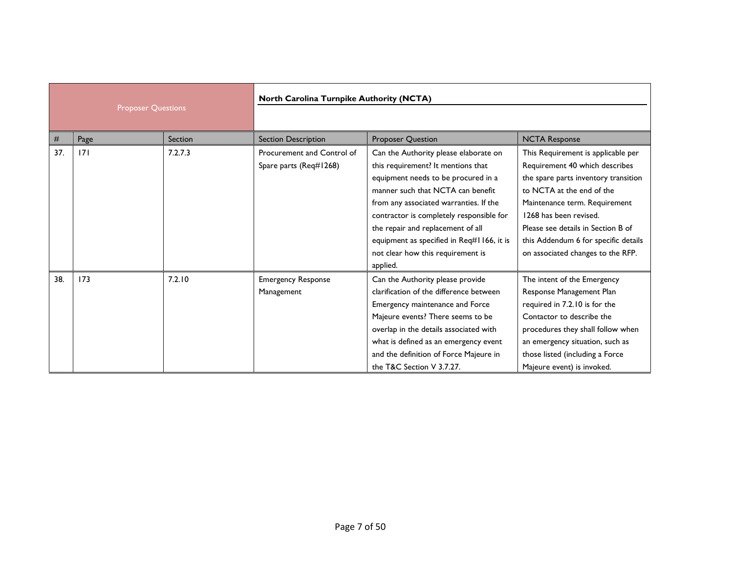|      |                           | North Carolina Turnpike Authority (NCTA) |                                                      |                                                                                                                                                                                                                                                                                                                                                                                  |                                                                                                                                                                                                                                                                                                                         |
|------|---------------------------|------------------------------------------|------------------------------------------------------|----------------------------------------------------------------------------------------------------------------------------------------------------------------------------------------------------------------------------------------------------------------------------------------------------------------------------------------------------------------------------------|-------------------------------------------------------------------------------------------------------------------------------------------------------------------------------------------------------------------------------------------------------------------------------------------------------------------------|
|      | <b>Proposer Questions</b> |                                          |                                                      |                                                                                                                                                                                                                                                                                                                                                                                  |                                                                                                                                                                                                                                                                                                                         |
| $\#$ | Page                      | Section                                  | <b>Section Description</b>                           | Proposer Question                                                                                                                                                                                                                                                                                                                                                                | <b>NCTA Response</b>                                                                                                                                                                                                                                                                                                    |
| 37.  | 7                         | 7.2.7.3                                  | Procurement and Control of<br>Spare parts (Req#1268) | Can the Authority please elaborate on<br>this requirement? It mentions that<br>equipment needs to be procured in a<br>manner such that NCTA can benefit<br>from any associated warranties. If the<br>contractor is completely responsible for<br>the repair and replacement of all<br>equipment as specified in Req#1166, it is<br>not clear how this requirement is<br>applied. | This Requirement is applicable per<br>Requirement 40 which describes<br>the spare parts inventory transition<br>to NCTA at the end of the<br>Maintenance term. Requirement<br>1268 has been revised.<br>Please see details in Section B of<br>this Addendum 6 for specific details<br>on associated changes to the RFP. |
| 38.  | 173                       | 7.2.10                                   | <b>Emergency Response</b><br>Management              | Can the Authority please provide<br>clarification of the difference between<br>Emergency maintenance and Force<br>Majeure events? There seems to be<br>overlap in the details associated with<br>what is defined as an emergency event<br>and the definition of Force Majeure in<br>the T&C Section V 3.7.27.                                                                    | The intent of the Emergency<br>Response Management Plan<br>required in 7.2.10 is for the<br>Contactor to describe the<br>procedures they shall follow when<br>an emergency situation, such as<br>those listed (including a Force<br>Majeure event) is invoked.                                                          |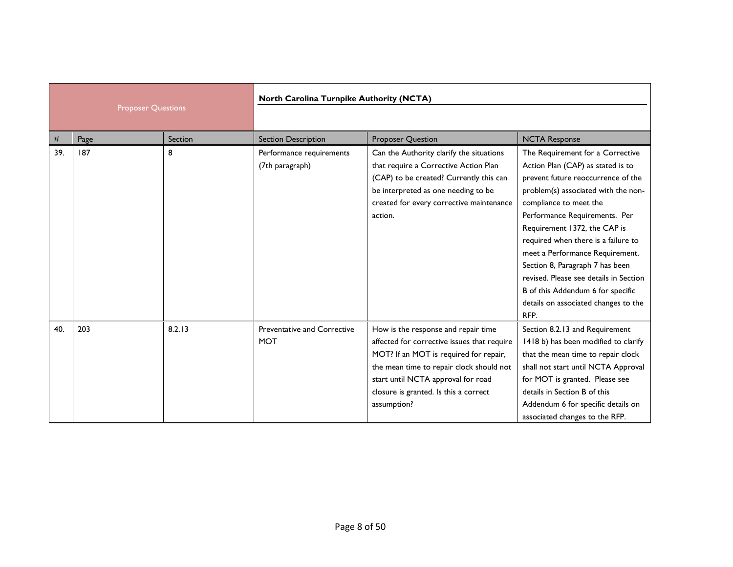|     |                           |         | North Carolina Turnpike Authority (NCTA)    |                                                                                                                                                                                                                                                                        |                                                                                                                                                                                                                                                                                                                                                                                                                                                                                           |
|-----|---------------------------|---------|---------------------------------------------|------------------------------------------------------------------------------------------------------------------------------------------------------------------------------------------------------------------------------------------------------------------------|-------------------------------------------------------------------------------------------------------------------------------------------------------------------------------------------------------------------------------------------------------------------------------------------------------------------------------------------------------------------------------------------------------------------------------------------------------------------------------------------|
|     | <b>Proposer Questions</b> |         |                                             |                                                                                                                                                                                                                                                                        |                                                                                                                                                                                                                                                                                                                                                                                                                                                                                           |
| #   | Page                      | Section | <b>Section Description</b>                  | <b>Proposer Question</b>                                                                                                                                                                                                                                               | <b>NCTA Response</b>                                                                                                                                                                                                                                                                                                                                                                                                                                                                      |
| 39. | 187                       | 8       | Performance requirements<br>(7th paragraph) | Can the Authority clarify the situations<br>that require a Corrective Action Plan<br>(CAP) to be created? Currently this can<br>be interpreted as one needing to be<br>created for every corrective maintenance<br>action.                                             | The Requirement for a Corrective<br>Action Plan (CAP) as stated is to<br>prevent future reoccurrence of the<br>problem(s) associated with the non-<br>compliance to meet the<br>Performance Requirements. Per<br>Requirement 1372, the CAP is<br>required when there is a failure to<br>meet a Performance Requirement.<br>Section 8, Paragraph 7 has been<br>revised. Please see details in Section<br>B of this Addendum 6 for specific<br>details on associated changes to the<br>RFP. |
| 40. | 203                       | 8.2.13  | Preventative and Corrective<br><b>MOT</b>   | How is the response and repair time<br>affected for corrective issues that require<br>MOT? If an MOT is required for repair,<br>the mean time to repair clock should not<br>start until NCTA approval for road<br>closure is granted. Is this a correct<br>assumption? | Section 8.2.13 and Requirement<br>1418 b) has been modified to clarify<br>that the mean time to repair clock<br>shall not start until NCTA Approval<br>for MOT is granted. Please see<br>details in Section B of this<br>Addendum 6 for specific details on<br>associated changes to the RFP.                                                                                                                                                                                             |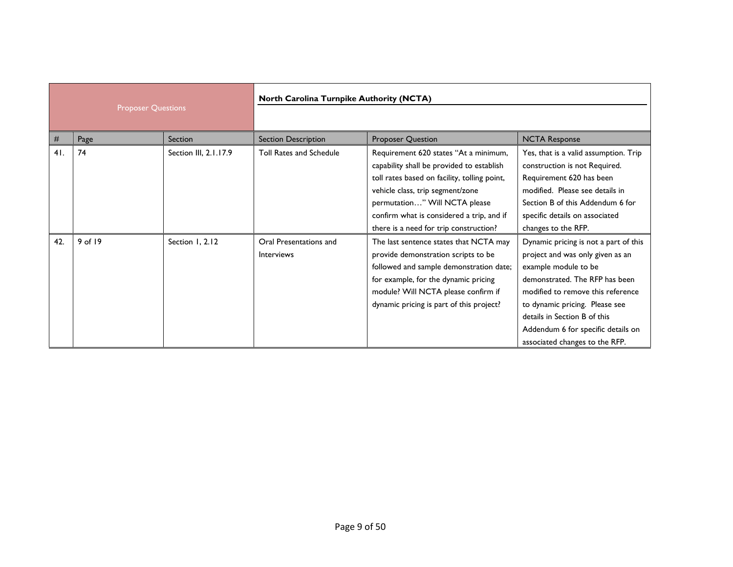| <b>Proposer Questions</b> |         | North Carolina Turnpike Authority (NCTA) |                                      |                                                                                                                                                                                                                                                                                                |                                                                                                                                                                                                                                                                                                                    |
|---------------------------|---------|------------------------------------------|--------------------------------------|------------------------------------------------------------------------------------------------------------------------------------------------------------------------------------------------------------------------------------------------------------------------------------------------|--------------------------------------------------------------------------------------------------------------------------------------------------------------------------------------------------------------------------------------------------------------------------------------------------------------------|
| #                         | Page    | Section                                  | <b>Section Description</b>           | <b>Proposer Question</b>                                                                                                                                                                                                                                                                       | <b>NCTA Response</b>                                                                                                                                                                                                                                                                                               |
| 41.                       | 74      | Section III, 2.1.17.9                    | Toll Rates and Schedule              | Requirement 620 states "At a minimum,<br>capability shall be provided to establish<br>toll rates based on facility, tolling point,<br>vehicle class, trip segment/zone<br>permutation" Will NCTA please<br>confirm what is considered a trip, and if<br>there is a need for trip construction? | Yes, that is a valid assumption. Trip<br>construction is not Required.<br>Requirement 620 has been<br>modified. Please see details in<br>Section B of this Addendum 6 for<br>specific details on associated<br>changes to the RFP.                                                                                 |
| 42.                       | 9 of 19 | Section 1, 2.12                          | Oral Presentations and<br>Interviews | The last sentence states that NCTA may<br>provide demonstration scripts to be<br>followed and sample demonstration date;<br>for example, for the dynamic pricing<br>module? Will NCTA please confirm if<br>dynamic pricing is part of this project?                                            | Dynamic pricing is not a part of this<br>project and was only given as an<br>example module to be<br>demonstrated. The RFP has been<br>modified to remove this reference<br>to dynamic pricing. Please see<br>details in Section B of this<br>Addendum 6 for specific details on<br>associated changes to the RFP. |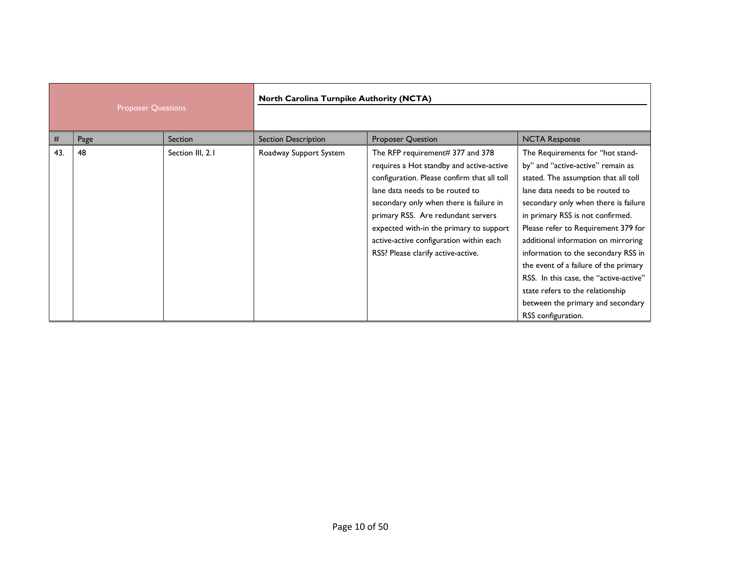| <b>Proposer Questions</b> |      | North Carolina Turnpike Authority (NCTA) |                            |                                                                                                                                                                                                                                                                                                                                                                             |                                                                                                                                                                                                                                                                                                                                                                                                                                                                                                                                     |
|---------------------------|------|------------------------------------------|----------------------------|-----------------------------------------------------------------------------------------------------------------------------------------------------------------------------------------------------------------------------------------------------------------------------------------------------------------------------------------------------------------------------|-------------------------------------------------------------------------------------------------------------------------------------------------------------------------------------------------------------------------------------------------------------------------------------------------------------------------------------------------------------------------------------------------------------------------------------------------------------------------------------------------------------------------------------|
| #                         | Page | <b>Section</b>                           | <b>Section Description</b> | <b>Proposer Question</b>                                                                                                                                                                                                                                                                                                                                                    | <b>NCTA Response</b>                                                                                                                                                                                                                                                                                                                                                                                                                                                                                                                |
| 43.                       | 48   | Section III, 2.1                         | Roadway Support System     | The RFP requirement# 377 and 378<br>requires a Hot standby and active-active<br>configuration. Please confirm that all toll<br>lane data needs to be routed to<br>secondary only when there is failure in<br>primary RSS. Are redundant servers<br>expected with-in the primary to support<br>active-active configuration within each<br>RSS? Please clarify active-active. | The Requirements for "hot stand-<br>by" and "active-active" remain as<br>stated. The assumption that all toll<br>lane data needs to be routed to<br>secondary only when there is failure<br>in primary RSS is not confirmed.<br>Please refer to Requirement 379 for<br>additional information on mirroring<br>information to the secondary RSS in<br>the event of a failure of the primary<br>RSS. In this case, the "active-active"<br>state refers to the relationship<br>between the primary and secondary<br>RSS configuration. |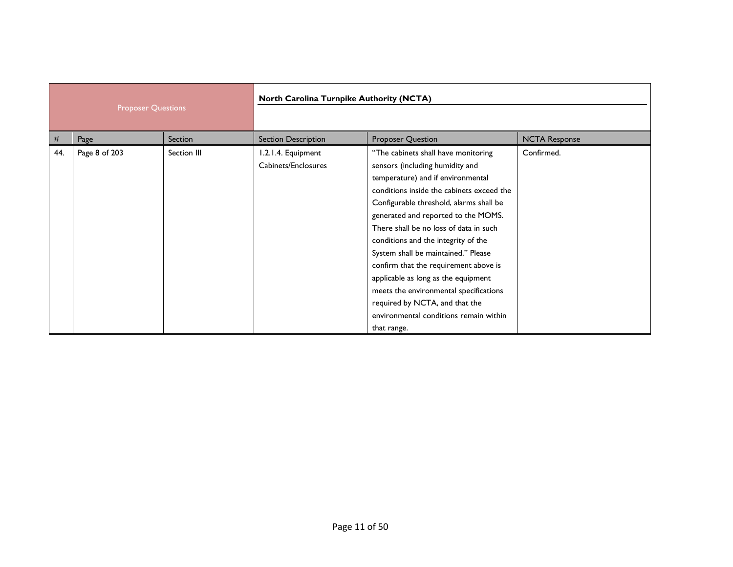| <b>Proposer Questions</b> |               | North Carolina Turnpike Authority (NCTA) |                                           |                                                                                                                                                                                                                                                                                                                                                                                                                                                                                                                                                                                         |                      |
|---------------------------|---------------|------------------------------------------|-------------------------------------------|-----------------------------------------------------------------------------------------------------------------------------------------------------------------------------------------------------------------------------------------------------------------------------------------------------------------------------------------------------------------------------------------------------------------------------------------------------------------------------------------------------------------------------------------------------------------------------------------|----------------------|
| #                         | Page          | Section                                  | Section Description                       | Proposer Question                                                                                                                                                                                                                                                                                                                                                                                                                                                                                                                                                                       | <b>NCTA Response</b> |
| 44.                       | Page 8 of 203 | Section III                              | 1.2.1.4. Equipment<br>Cabinets/Enclosures | "The cabinets shall have monitoring<br>sensors (including humidity and<br>temperature) and if environmental<br>conditions inside the cabinets exceed the<br>Configurable threshold, alarms shall be<br>generated and reported to the MOMS.<br>There shall be no loss of data in such<br>conditions and the integrity of the<br>System shall be maintained." Please<br>confirm that the requirement above is<br>applicable as long as the equipment<br>meets the environmental specifications<br>required by NCTA, and that the<br>environmental conditions remain within<br>that range. | Confirmed.           |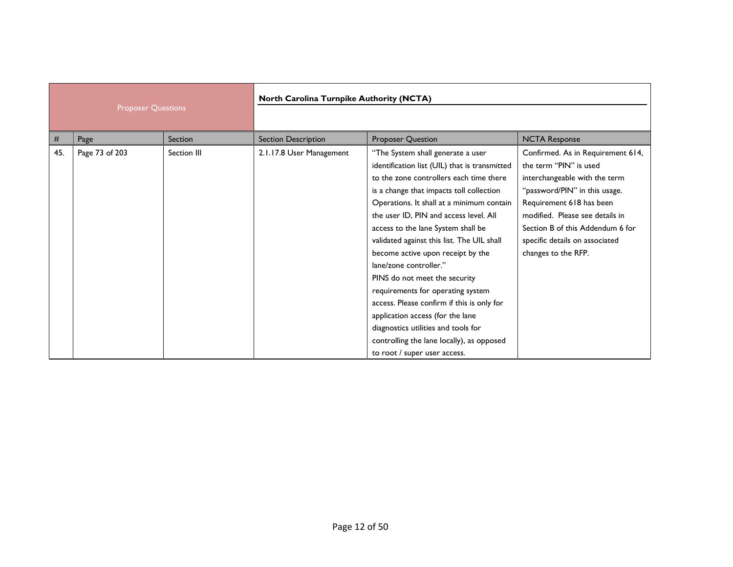| <b>Proposer Questions</b> |                | North Carolina Turnpike Authority (NCTA) |                            |                                                                                                                                                                                                                                                                                                                                                                                                                                                                                                                                                                                                                                                                                                 |                                                                                                                                                                                                                                                                                           |
|---------------------------|----------------|------------------------------------------|----------------------------|-------------------------------------------------------------------------------------------------------------------------------------------------------------------------------------------------------------------------------------------------------------------------------------------------------------------------------------------------------------------------------------------------------------------------------------------------------------------------------------------------------------------------------------------------------------------------------------------------------------------------------------------------------------------------------------------------|-------------------------------------------------------------------------------------------------------------------------------------------------------------------------------------------------------------------------------------------------------------------------------------------|
| #                         | Page           | Section                                  | <b>Section Description</b> | <b>Proposer Question</b>                                                                                                                                                                                                                                                                                                                                                                                                                                                                                                                                                                                                                                                                        | <b>NCTA Response</b>                                                                                                                                                                                                                                                                      |
| 45.                       | Page 73 of 203 | Section III                              | 2.1.17.8 User Management   | "The System shall generate a user<br>identification list (UIL) that is transmitted<br>to the zone controllers each time there<br>is a change that impacts toll collection<br>Operations. It shall at a minimum contain<br>the user ID, PIN and access level. All<br>access to the lane System shall be<br>validated against this list. The UIL shall<br>become active upon receipt by the<br>lane/zone controller."<br>PINS do not meet the security<br>requirements for operating system<br>access. Please confirm if this is only for<br>application access (for the lane<br>diagnostics utilities and tools for<br>controlling the lane locally), as opposed<br>to root / super user access. | Confirmed. As in Requirement 614,<br>the term "PIN" is used<br>interchangeable with the term<br>"password/PIN" in this usage.<br>Requirement 618 has been<br>modified. Please see details in<br>Section B of this Addendum 6 for<br>specific details on associated<br>changes to the RFP. |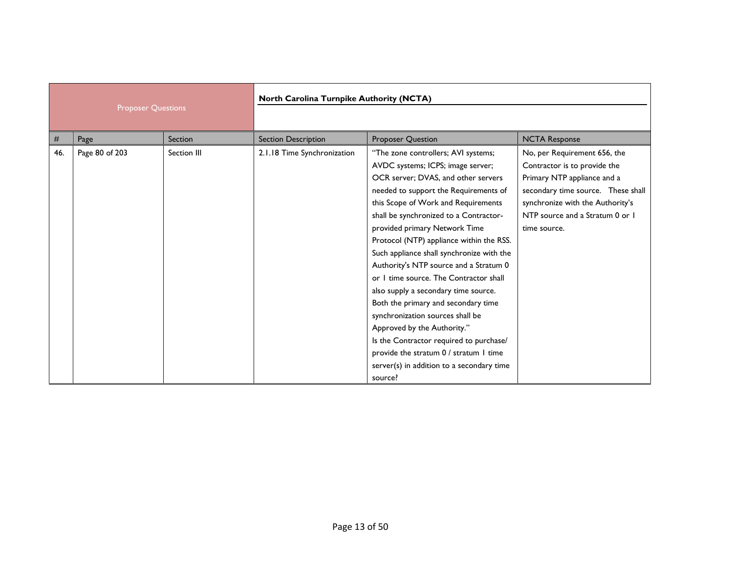| <b>Proposer Questions</b> |                | North Carolina Turnpike Authority (NCTA) |                             |                                                                                                                                                                                                                                                                                                                                                                                                                                                                                                                                                                                                                                                                                                                                                        |                                                                                                                                                                                                                          |
|---------------------------|----------------|------------------------------------------|-----------------------------|--------------------------------------------------------------------------------------------------------------------------------------------------------------------------------------------------------------------------------------------------------------------------------------------------------------------------------------------------------------------------------------------------------------------------------------------------------------------------------------------------------------------------------------------------------------------------------------------------------------------------------------------------------------------------------------------------------------------------------------------------------|--------------------------------------------------------------------------------------------------------------------------------------------------------------------------------------------------------------------------|
| #                         | Page           | Section                                  | <b>Section Description</b>  | Proposer Question                                                                                                                                                                                                                                                                                                                                                                                                                                                                                                                                                                                                                                                                                                                                      | <b>NCTA Response</b>                                                                                                                                                                                                     |
| 46.                       | Page 80 of 203 | Section III                              | 2.1.18 Time Synchronization | "The zone controllers; AVI systems;<br>AVDC systems; ICPS; image server;<br>OCR server; DVAS, and other servers<br>needed to support the Requirements of<br>this Scope of Work and Requirements<br>shall be synchronized to a Contractor-<br>provided primary Network Time<br>Protocol (NTP) appliance within the RSS.<br>Such appliance shall synchronize with the<br>Authority's NTP source and a Stratum 0<br>or I time source. The Contractor shall<br>also supply a secondary time source.<br>Both the primary and secondary time<br>synchronization sources shall be<br>Approved by the Authority."<br>Is the Contractor required to purchase/<br>provide the stratum 0 / stratum 1 time<br>server(s) in addition to a secondary time<br>source? | No, per Requirement 656, the<br>Contractor is to provide the<br>Primary NTP appliance and a<br>secondary time source. These shall<br>synchronize with the Authority's<br>NTP source and a Stratum 0 or 1<br>time source. |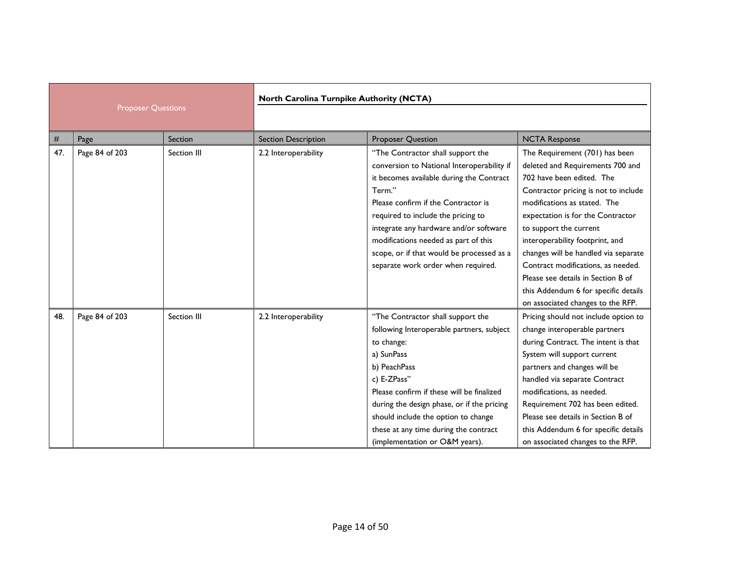| <b>Proposer Questions</b> |                | North Carolina Turnpike Authority (NCTA) |                            |                                                                                                                                                                                                                                                                                                                                                                                         |                                                                                                                                                                                                                                                                                                                                                                                                                                                                            |
|---------------------------|----------------|------------------------------------------|----------------------------|-----------------------------------------------------------------------------------------------------------------------------------------------------------------------------------------------------------------------------------------------------------------------------------------------------------------------------------------------------------------------------------------|----------------------------------------------------------------------------------------------------------------------------------------------------------------------------------------------------------------------------------------------------------------------------------------------------------------------------------------------------------------------------------------------------------------------------------------------------------------------------|
| $\#$                      | Page           | Section                                  | <b>Section Description</b> | <b>Proposer Question</b>                                                                                                                                                                                                                                                                                                                                                                | <b>NCTA Response</b>                                                                                                                                                                                                                                                                                                                                                                                                                                                       |
| 47.                       | Page 84 of 203 | Section III                              | 2.2 Interoperability       | "The Contractor shall support the<br>conversion to National Interoperability if<br>it becomes available during the Contract<br>Term."<br>Please confirm if the Contractor is<br>required to include the pricing to<br>integrate any hardware and/or software<br>modifications needed as part of this<br>scope, or if that would be processed as a<br>separate work order when required. | The Requirement (701) has been<br>deleted and Requirements 700 and<br>702 have been edited. The<br>Contractor pricing is not to include<br>modifications as stated. The<br>expectation is for the Contractor<br>to support the current<br>interoperability footprint, and<br>changes will be handled via separate<br>Contract modifications, as needed.<br>Please see details in Section B of<br>this Addendum 6 for specific details<br>on associated changes to the RFP. |
| 48.                       | Page 84 of 203 | Section III                              | 2.2 Interoperability       | "The Contractor shall support the<br>following Interoperable partners, subject<br>to change:<br>a) SunPass<br>b) PeachPass<br>c) E-ZPass"<br>Please confirm if these will be finalized<br>during the design phase, or if the pricing<br>should include the option to change<br>these at any time during the contract<br>(implementation or O&M years).                                  | Pricing should not include option to<br>change interoperable partners<br>during Contract. The intent is that<br>System will support current<br>partners and changes will be<br>handled via separate Contract<br>modifications, as needed.<br>Requirement 702 has been edited.<br>Please see details in Section B of<br>this Addendum 6 for specific details<br>on associated changes to the RFP.                                                                           |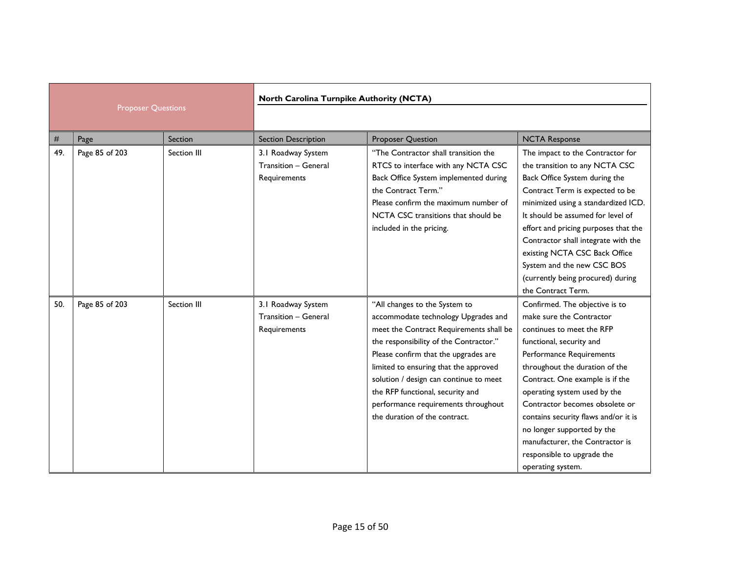| <b>Proposer Questions</b> |                | North Carolina Turnpike Authority (NCTA) |                                                                   |                                                                                                                                                                                                                                                                                                                                                                                                  |                                                                                                                                                                                                                                                                                                                                                                                                                                                    |
|---------------------------|----------------|------------------------------------------|-------------------------------------------------------------------|--------------------------------------------------------------------------------------------------------------------------------------------------------------------------------------------------------------------------------------------------------------------------------------------------------------------------------------------------------------------------------------------------|----------------------------------------------------------------------------------------------------------------------------------------------------------------------------------------------------------------------------------------------------------------------------------------------------------------------------------------------------------------------------------------------------------------------------------------------------|
| #                         | Page           | Section                                  | <b>Section Description</b>                                        | <b>Proposer Question</b>                                                                                                                                                                                                                                                                                                                                                                         | <b>NCTA Response</b>                                                                                                                                                                                                                                                                                                                                                                                                                               |
| 49.                       | Page 85 of 203 | Section III                              | 3.1 Roadway System<br><b>Transition - General</b><br>Requirements | "The Contractor shall transition the<br>RTCS to interface with any NCTA CSC<br>Back Office System implemented during<br>the Contract Term."<br>Please confirm the maximum number of<br>NCTA CSC transitions that should be<br>included in the pricing.                                                                                                                                           | The impact to the Contractor for<br>the transition to any NCTA CSC<br>Back Office System during the<br>Contract Term is expected to be<br>minimized using a standardized ICD.<br>It should be assumed for level of<br>effort and pricing purposes that the<br>Contractor shall integrate with the<br>existing NCTA CSC Back Office<br>System and the new CSC BOS<br>(currently being procured) during<br>the Contract Term.                        |
| 50.                       | Page 85 of 203 | Section III                              | 3.1 Roadway System<br><b>Transition - General</b><br>Requirements | "All changes to the System to<br>accommodate technology Upgrades and<br>meet the Contract Requirements shall be<br>the responsibility of the Contractor."<br>Please confirm that the upgrades are<br>limited to ensuring that the approved<br>solution / design can continue to meet<br>the RFP functional, security and<br>performance requirements throughout<br>the duration of the contract. | Confirmed. The objective is to<br>make sure the Contractor<br>continues to meet the RFP<br>functional, security and<br>Performance Requirements<br>throughout the duration of the<br>Contract. One example is if the<br>operating system used by the<br>Contractor becomes obsolete or<br>contains security flaws and/or it is<br>no longer supported by the<br>manufacturer, the Contractor is<br>responsible to upgrade the<br>operating system. |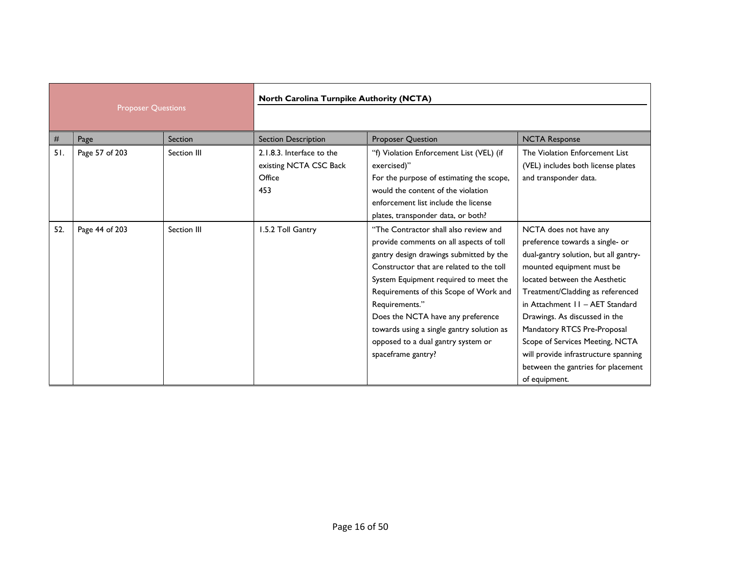| <b>Proposer Questions</b> |                | North Carolina Turnpike Authority (NCTA) |                                                                      |                                                                                                                                                                                                                                                                                                                                                                                                                            |                                                                                                                                                                                                                                                                                                                                                                                                                                           |
|---------------------------|----------------|------------------------------------------|----------------------------------------------------------------------|----------------------------------------------------------------------------------------------------------------------------------------------------------------------------------------------------------------------------------------------------------------------------------------------------------------------------------------------------------------------------------------------------------------------------|-------------------------------------------------------------------------------------------------------------------------------------------------------------------------------------------------------------------------------------------------------------------------------------------------------------------------------------------------------------------------------------------------------------------------------------------|
| #                         | Page           | Section                                  | <b>Section Description</b>                                           | <b>Proposer Question</b>                                                                                                                                                                                                                                                                                                                                                                                                   | <b>NCTA Response</b>                                                                                                                                                                                                                                                                                                                                                                                                                      |
| 51.                       | Page 57 of 203 | Section III                              | 2.1.8.3. Interface to the<br>existing NCTA CSC Back<br>Office<br>453 | "f) Violation Enforcement List (VEL) (if<br>exercised)"<br>For the purpose of estimating the scope,<br>would the content of the violation<br>enforcement list include the license<br>plates, transponder data, or both?                                                                                                                                                                                                    | The Violation Enforcement List<br>(VEL) includes both license plates<br>and transponder data.                                                                                                                                                                                                                                                                                                                                             |
| 52.                       | Page 44 of 203 | Section III                              | 1.5.2 Toll Gantry                                                    | "The Contractor shall also review and<br>provide comments on all aspects of toll<br>gantry design drawings submitted by the<br>Constructor that are related to the toll<br>System Equipment required to meet the<br>Requirements of this Scope of Work and<br>Requirements."<br>Does the NCTA have any preference<br>towards using a single gantry solution as<br>opposed to a dual gantry system or<br>spaceframe gantry? | NCTA does not have any<br>preference towards a single- or<br>dual-gantry solution, but all gantry-<br>mounted equipment must be<br>located between the Aesthetic<br>Treatment/Cladding as referenced<br>in Attachment 11 - AET Standard<br>Drawings. As discussed in the<br>Mandatory RTCS Pre-Proposal<br>Scope of Services Meeting, NCTA<br>will provide infrastructure spanning<br>between the gantries for placement<br>of equipment. |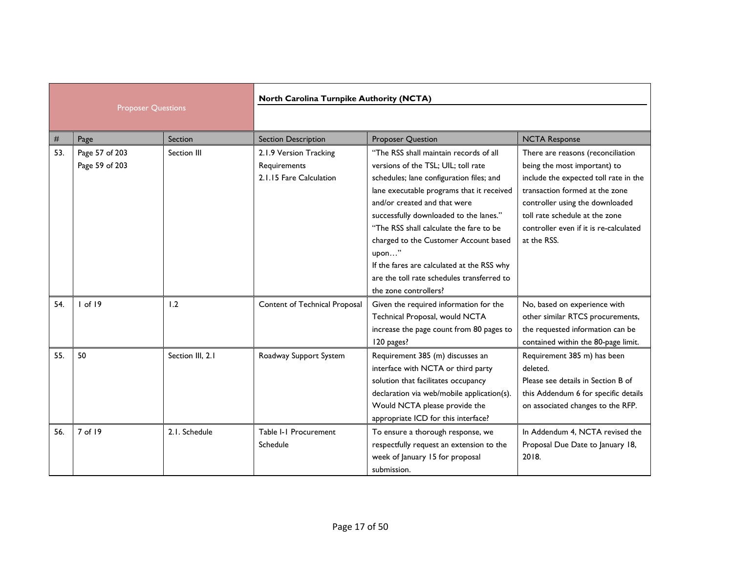|                           |                                  | North Carolina Turnpike Authority (NCTA) |                                                                   |                                                                                                                                                                                                                                                                                                                                                                                                                                                                    |                                                                                                                                                                                                                                                                            |
|---------------------------|----------------------------------|------------------------------------------|-------------------------------------------------------------------|--------------------------------------------------------------------------------------------------------------------------------------------------------------------------------------------------------------------------------------------------------------------------------------------------------------------------------------------------------------------------------------------------------------------------------------------------------------------|----------------------------------------------------------------------------------------------------------------------------------------------------------------------------------------------------------------------------------------------------------------------------|
| <b>Proposer Questions</b> |                                  |                                          |                                                                   |                                                                                                                                                                                                                                                                                                                                                                                                                                                                    |                                                                                                                                                                                                                                                                            |
| #                         | Page                             | Section                                  | <b>Section Description</b>                                        | <b>Proposer Question</b>                                                                                                                                                                                                                                                                                                                                                                                                                                           | <b>NCTA Response</b>                                                                                                                                                                                                                                                       |
| 53.                       | Page 57 of 203<br>Page 59 of 203 | Section III                              | 2.1.9 Version Tracking<br>Requirements<br>2.1.15 Fare Calculation | "The RSS shall maintain records of all<br>versions of the TSL; UIL; toll rate<br>schedules; lane configuration files; and<br>lane executable programs that it received<br>and/or created and that were<br>successfully downloaded to the lanes."<br>"The RSS shall calculate the fare to be<br>charged to the Customer Account based<br>upon"<br>If the fares are calculated at the RSS why<br>are the toll rate schedules transferred to<br>the zone controllers? | There are reasons (reconciliation<br>being the most important) to<br>include the expected toll rate in the<br>transaction formed at the zone<br>controller using the downloaded<br>toll rate schedule at the zone<br>controller even if it is re-calculated<br>at the RSS. |
| 54.                       | $I$ of $I9$                      | 1.2                                      | Content of Technical Proposal                                     | Given the required information for the<br>Technical Proposal, would NCTA<br>increase the page count from 80 pages to<br>120 pages?                                                                                                                                                                                                                                                                                                                                 | No, based on experience with<br>other similar RTCS procurements,<br>the requested information can be<br>contained within the 80-page limit.                                                                                                                                |
| 55.                       | 50                               | Section III, 2.1                         | Roadway Support System                                            | Requirement 385 (m) discusses an<br>interface with NCTA or third party<br>solution that facilitates occupancy<br>declaration via web/mobile application(s).<br>Would NCTA please provide the<br>appropriate ICD for this interface?                                                                                                                                                                                                                                | Requirement 385 m) has been<br>deleted.<br>Please see details in Section B of<br>this Addendum 6 for specific details<br>on associated changes to the RFP.                                                                                                                 |
| 56.                       | 7 of 19                          | 2.1. Schedule                            | Table I-1 Procurement<br>Schedule                                 | To ensure a thorough response, we<br>respectfully request an extension to the<br>week of January 15 for proposal<br>submission.                                                                                                                                                                                                                                                                                                                                    | In Addendum 4, NCTA revised the<br>Proposal Due Date to January 18,<br>2018.                                                                                                                                                                                               |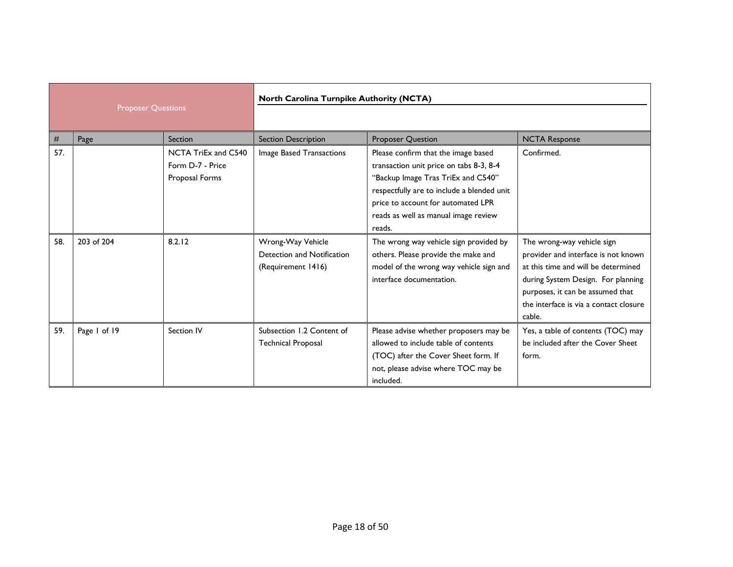| <b>Proposer Questions</b> |              | North Carolina Turnpike Authority (NCTA)                  |                                                                       |                                                                                                                                                                                                                                                            |                                                                                                                                                                                                                                        |
|---------------------------|--------------|-----------------------------------------------------------|-----------------------------------------------------------------------|------------------------------------------------------------------------------------------------------------------------------------------------------------------------------------------------------------------------------------------------------------|----------------------------------------------------------------------------------------------------------------------------------------------------------------------------------------------------------------------------------------|
| #                         | Page         | Section                                                   | <b>Section Description</b>                                            | <b>Proposer Question</b>                                                                                                                                                                                                                                   | <b>NCTA Response</b>                                                                                                                                                                                                                   |
| 57.                       |              | NCTA TriEx and C540<br>Form D-7 - Price<br>Proposal Forms | Image Based Transactions                                              | Please confirm that the image based<br>transaction unit price on tabs 8-3, 8-4<br>"Backup Image Tras TriEx and C540"<br>respectfully are to include a blended unit<br>price to account for automated LPR<br>reads as well as manual image review<br>reads. | Confirmed.                                                                                                                                                                                                                             |
| 58.                       | 203 of 204   | 8.2.12                                                    | Wrong-Way Vehicle<br>Detection and Notification<br>(Requirement 1416) | The wrong way vehicle sign provided by<br>others. Please provide the make and<br>model of the wrong way vehicle sign and<br>interface documentation.                                                                                                       | The wrong-way vehicle sign<br>provider and interface is not known<br>at this time and will be determined<br>during System Design. For planning<br>purposes, it can be assumed that<br>the interface is via a contact closure<br>cable. |
| 59.                       | Page 1 of 19 | Section IV                                                | Subsection 1.2 Content of<br><b>Technical Proposal</b>                | Please advise whether proposers may be<br>allowed to include table of contents<br>(TOC) after the Cover Sheet form. If<br>not, please advise where TOC may be<br>included.                                                                                 | Yes, a table of contents (TOC) may<br>be included after the Cover Sheet<br>form.                                                                                                                                                       |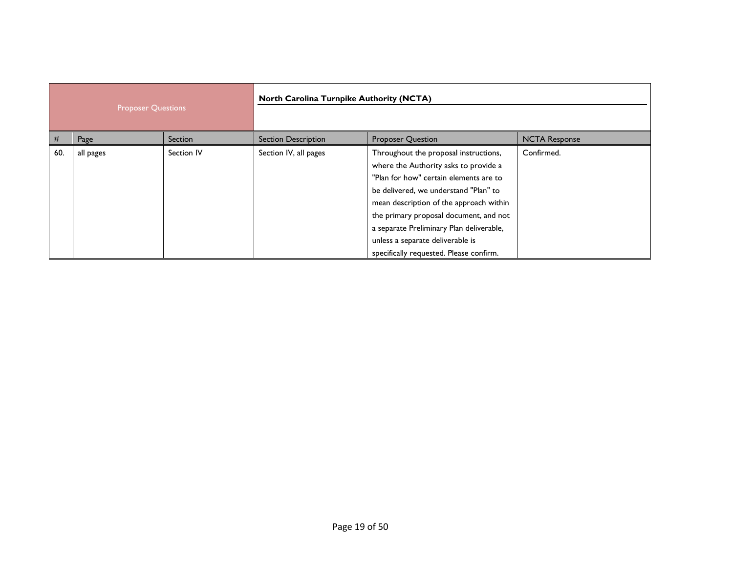| <b>Proposer Questions</b> |           | North Carolina Turnpike Authority (NCTA) |                            |                                                                                                                                                                                                                                                                                                                                                                                   |                      |
|---------------------------|-----------|------------------------------------------|----------------------------|-----------------------------------------------------------------------------------------------------------------------------------------------------------------------------------------------------------------------------------------------------------------------------------------------------------------------------------------------------------------------------------|----------------------|
| #                         | Page      | Section                                  | <b>Section Description</b> | <b>Proposer Question</b>                                                                                                                                                                                                                                                                                                                                                          | <b>NCTA Response</b> |
| 60.                       | all pages | Section IV                               | Section IV, all pages      | Throughout the proposal instructions,<br>where the Authority asks to provide a<br>"Plan for how" certain elements are to<br>be delivered, we understand "Plan" to<br>mean description of the approach within<br>the primary proposal document, and not<br>a separate Preliminary Plan deliverable,<br>unless a separate deliverable is<br>specifically requested. Please confirm. | Confirmed.           |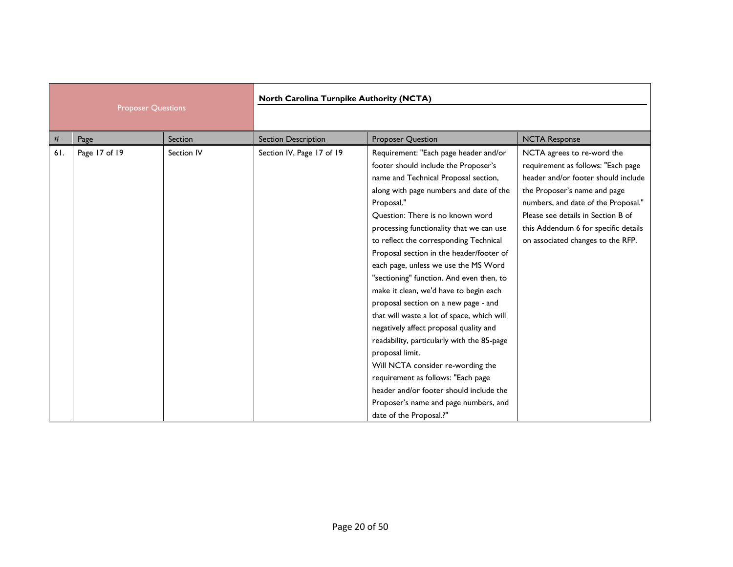| <b>Proposer Questions</b> |               | North Carolina Turnpike Authority (NCTA) |                            |                                                                                                                                                                                                                                                                                                                                                                                                                                                                                                                                                                                                                                                                                                                                                                                                                                                                               |                                                                                                                                                                                                                                                                                                   |
|---------------------------|---------------|------------------------------------------|----------------------------|-------------------------------------------------------------------------------------------------------------------------------------------------------------------------------------------------------------------------------------------------------------------------------------------------------------------------------------------------------------------------------------------------------------------------------------------------------------------------------------------------------------------------------------------------------------------------------------------------------------------------------------------------------------------------------------------------------------------------------------------------------------------------------------------------------------------------------------------------------------------------------|---------------------------------------------------------------------------------------------------------------------------------------------------------------------------------------------------------------------------------------------------------------------------------------------------|
| $\#$                      | Page          | Section                                  | <b>Section Description</b> | <b>Proposer Question</b>                                                                                                                                                                                                                                                                                                                                                                                                                                                                                                                                                                                                                                                                                                                                                                                                                                                      | <b>NCTA Response</b>                                                                                                                                                                                                                                                                              |
| 61.                       | Page 17 of 19 | Section IV                               | Section IV, Page 17 of 19  | Requirement: "Each page header and/or<br>footer should include the Proposer's<br>name and Technical Proposal section,<br>along with page numbers and date of the<br>Proposal."<br>Ouestion: There is no known word<br>processing functionality that we can use<br>to reflect the corresponding Technical<br>Proposal section in the header/footer of<br>each page, unless we use the MS Word<br>"sectioning" function. And even then, to<br>make it clean, we'd have to begin each<br>proposal section on a new page - and<br>that will waste a lot of space, which will<br>negatively affect proposal quality and<br>readability, particularly with the 85-page<br>proposal limit.<br>Will NCTA consider re-wording the<br>requirement as follows: "Each page<br>header and/or footer should include the<br>Proposer's name and page numbers, and<br>date of the Proposal.?" | NCTA agrees to re-word the<br>requirement as follows: "Each page<br>header and/or footer should include<br>the Proposer's name and page<br>numbers, and date of the Proposal."<br>Please see details in Section B of<br>this Addendum 6 for specific details<br>on associated changes to the RFP. |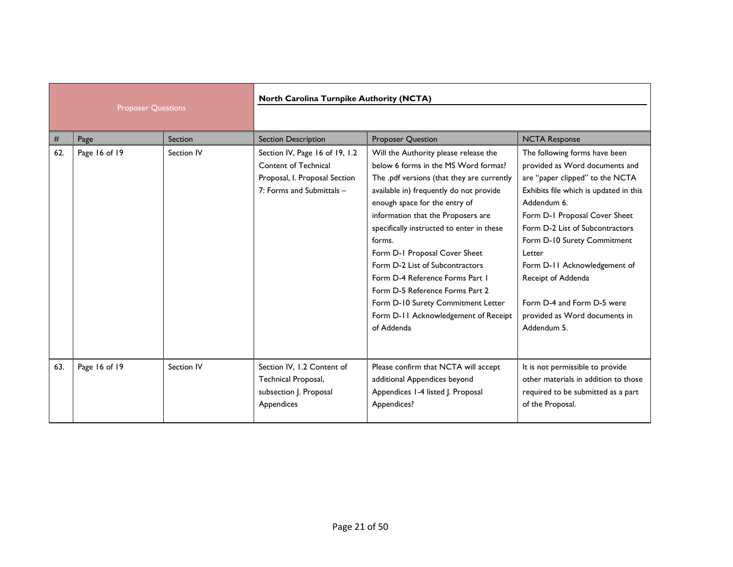|                           |               |            |                                                                                                                      | North Carolina Turnpike Authority (NCTA)                                                                                                                                                                                                                                                                                                                                                                                                                                                                                                   |                                                                                                                                                                                                                                                                                                                                                                                                              |  |
|---------------------------|---------------|------------|----------------------------------------------------------------------------------------------------------------------|--------------------------------------------------------------------------------------------------------------------------------------------------------------------------------------------------------------------------------------------------------------------------------------------------------------------------------------------------------------------------------------------------------------------------------------------------------------------------------------------------------------------------------------------|--------------------------------------------------------------------------------------------------------------------------------------------------------------------------------------------------------------------------------------------------------------------------------------------------------------------------------------------------------------------------------------------------------------|--|
| <b>Proposer Questions</b> |               |            |                                                                                                                      |                                                                                                                                                                                                                                                                                                                                                                                                                                                                                                                                            |                                                                                                                                                                                                                                                                                                                                                                                                              |  |
| #                         | Page          | Section    | <b>Section Description</b>                                                                                           | <b>Proposer Question</b>                                                                                                                                                                                                                                                                                                                                                                                                                                                                                                                   | <b>NCTA Response</b>                                                                                                                                                                                                                                                                                                                                                                                         |  |
| 62.                       | Page 16 of 19 | Section IV | Section IV, Page 16 of 19, 1.2<br>Content of Technical<br>Proposal, I. Proposal Section<br>7: Forms and Submittals - | Will the Authority please release the<br>below 6 forms in the MS Word format?<br>The .pdf versions (that they are currently<br>available in) frequently do not provide<br>enough space for the entry of<br>information that the Proposers are<br>specifically instructed to enter in these<br>forms.<br>Form D-1 Proposal Cover Sheet<br>Form D-2 List of Subcontractors<br>Form D-4 Reference Forms Part 1<br>Form D-5 Reference Forms Part 2<br>Form D-10 Surety Commitment Letter<br>Form D-11 Acknowledgement of Receipt<br>of Addenda | The following forms have been<br>provided as Word documents and<br>are "paper clipped" to the NCTA<br>Exhibits file which is updated in this<br>Addendum 6.<br>Form D-1 Proposal Cover Sheet<br>Form D-2 List of Subcontractors<br>Form D-10 Surety Commitment<br>Letter<br>Form D-11 Acknowledgement of<br>Receipt of Addenda<br>Form D-4 and Form D-5 were<br>provided as Word documents in<br>Addendum 5. |  |
| 63.                       | Page 16 of 19 | Section IV | Section IV, 1.2 Content of<br>Technical Proposal,<br>subsection J. Proposal<br>Appendices                            | Please confirm that NCTA will accept<br>additional Appendices beyond<br>Appendices 1-4 listed J. Proposal<br>Appendices?                                                                                                                                                                                                                                                                                                                                                                                                                   | It is not permissible to provide<br>other materials in addition to those<br>required to be submitted as a part<br>of the Proposal.                                                                                                                                                                                                                                                                           |  |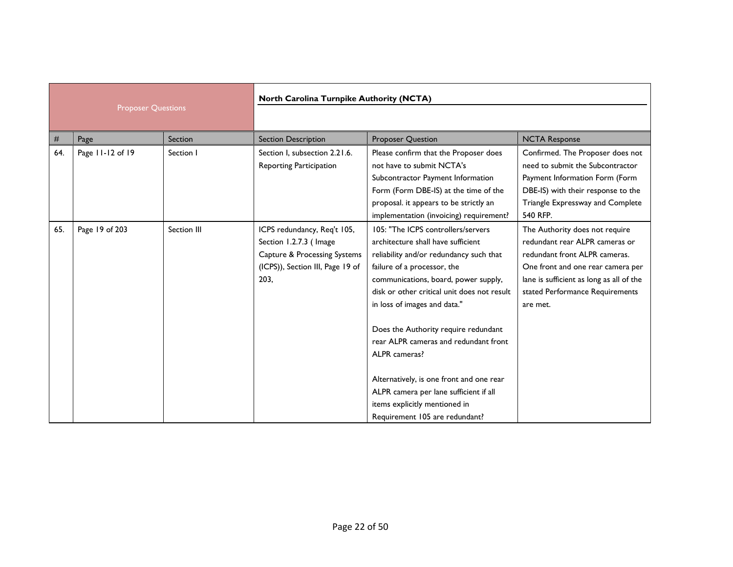| <b>Proposer Questions</b> |                  | North Carolina Turnpike Authority (NCTA) |                                                                                                                                              |                                                                                                                                                                                                                                                                                                                                                                                                                                                                                                                                      |                                                                                                                                                                                                                                   |
|---------------------------|------------------|------------------------------------------|----------------------------------------------------------------------------------------------------------------------------------------------|--------------------------------------------------------------------------------------------------------------------------------------------------------------------------------------------------------------------------------------------------------------------------------------------------------------------------------------------------------------------------------------------------------------------------------------------------------------------------------------------------------------------------------------|-----------------------------------------------------------------------------------------------------------------------------------------------------------------------------------------------------------------------------------|
|                           |                  |                                          |                                                                                                                                              |                                                                                                                                                                                                                                                                                                                                                                                                                                                                                                                                      |                                                                                                                                                                                                                                   |
| #                         | Page             | Section                                  | <b>Section Description</b>                                                                                                                   | <b>Proposer Question</b>                                                                                                                                                                                                                                                                                                                                                                                                                                                                                                             | <b>NCTA Response</b>                                                                                                                                                                                                              |
| 64.                       | Page 11-12 of 19 | Section I                                | Section I, subsection 2.21.6.<br><b>Reporting Participation</b>                                                                              | Please confirm that the Proposer does<br>not have to submit NCTA's<br>Subcontractor Payment Information<br>Form (Form DBE-IS) at the time of the<br>proposal. it appears to be strictly an<br>implementation (invoicing) requirement?                                                                                                                                                                                                                                                                                                | Confirmed. The Proposer does not<br>need to submit the Subcontractor<br>Payment Information Form (Form<br>DBE-IS) with their response to the<br>Triangle Expressway and Complete<br>540 RFP.                                      |
| 65.                       | Page 19 of 203   | Section III                              | ICPS redundancy, Req't 105,<br>Section 1.2.7.3 (Image<br><b>Capture &amp; Processing Systems</b><br>(ICPS)), Section III, Page 19 of<br>203, | 105: "The ICPS controllers/servers<br>architecture shall have sufficient<br>reliability and/or redundancy such that<br>failure of a processor, the<br>communications, board, power supply,<br>disk or other critical unit does not result<br>in loss of images and data."<br>Does the Authority require redundant<br>rear ALPR cameras and redundant front<br>ALPR cameras?<br>Alternatively, is one front and one rear<br>ALPR camera per lane sufficient if all<br>items explicitly mentioned in<br>Requirement 105 are redundant? | The Authority does not require<br>redundant rear ALPR cameras or<br>redundant front ALPR cameras.<br>One front and one rear camera per<br>lane is sufficient as long as all of the<br>stated Performance Requirements<br>are met. |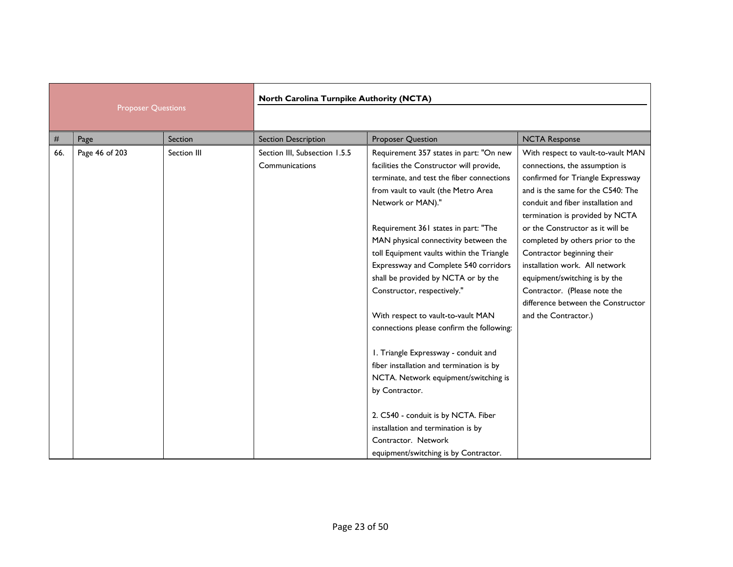|                           |                | North Carolina Turnpike Authority (NCTA) |                                                 |                                                                                                                                                                                                                                                                                                                                                                                                                                                                                                                                                                                                                                                                            |                                                                                                                                                                                                                                                                                                                                                                                                                                                                                                |
|---------------------------|----------------|------------------------------------------|-------------------------------------------------|----------------------------------------------------------------------------------------------------------------------------------------------------------------------------------------------------------------------------------------------------------------------------------------------------------------------------------------------------------------------------------------------------------------------------------------------------------------------------------------------------------------------------------------------------------------------------------------------------------------------------------------------------------------------------|------------------------------------------------------------------------------------------------------------------------------------------------------------------------------------------------------------------------------------------------------------------------------------------------------------------------------------------------------------------------------------------------------------------------------------------------------------------------------------------------|
| <b>Proposer Questions</b> |                |                                          |                                                 |                                                                                                                                                                                                                                                                                                                                                                                                                                                                                                                                                                                                                                                                            |                                                                                                                                                                                                                                                                                                                                                                                                                                                                                                |
| #                         | Page           | Section                                  | <b>Section Description</b>                      | <b>Proposer Question</b>                                                                                                                                                                                                                                                                                                                                                                                                                                                                                                                                                                                                                                                   | <b>NCTA Response</b>                                                                                                                                                                                                                                                                                                                                                                                                                                                                           |
| 66.                       | Page 46 of 203 | Section III                              | Section III, Subsection 1.5.5<br>Communications | Requirement 357 states in part: "On new<br>facilities the Constructor will provide,<br>terminate, and test the fiber connections<br>from vault to vault (the Metro Area<br>Network or MAN)."<br>Requirement 361 states in part: "The<br>MAN physical connectivity between the<br>toll Equipment vaults within the Triangle<br>Expressway and Complete 540 corridors<br>shall be provided by NCTA or by the<br>Constructor, respectively."<br>With respect to vault-to-vault MAN<br>connections please confirm the following:<br>I. Triangle Expressway - conduit and<br>fiber installation and termination is by<br>NCTA. Network equipment/switching is<br>by Contractor. | With respect to vault-to-vault MAN<br>connections, the assumption is<br>confirmed for Triangle Expressway<br>and is the same for the C540: The<br>conduit and fiber installation and<br>termination is provided by NCTA<br>or the Constructor as it will be<br>completed by others prior to the<br>Contractor beginning their<br>installation work. All network<br>equipment/switching is by the<br>Contractor. (Please note the<br>difference between the Constructor<br>and the Contractor.) |
|                           |                |                                          |                                                 | 2. C540 - conduit is by NCTA. Fiber<br>installation and termination is by<br>Contractor, Network<br>equipment/switching is by Contractor.                                                                                                                                                                                                                                                                                                                                                                                                                                                                                                                                  |                                                                                                                                                                                                                                                                                                                                                                                                                                                                                                |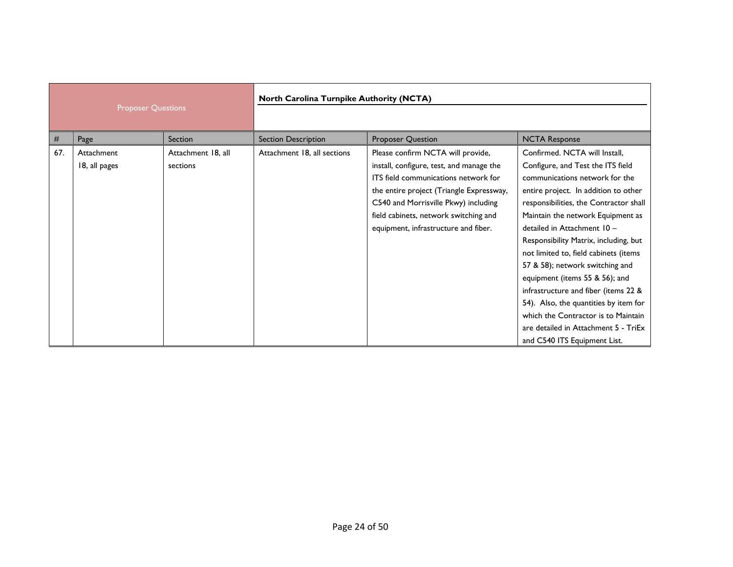| <b>Proposer Questions</b> |                             | North Carolina Turnpike Authority (NCTA) |                             |                                                                                                                                                                                                                                                                                            |                                                                                                                                                                                                                                                                                                                                                                                                                                                                                                                                                                                                                   |
|---------------------------|-----------------------------|------------------------------------------|-----------------------------|--------------------------------------------------------------------------------------------------------------------------------------------------------------------------------------------------------------------------------------------------------------------------------------------|-------------------------------------------------------------------------------------------------------------------------------------------------------------------------------------------------------------------------------------------------------------------------------------------------------------------------------------------------------------------------------------------------------------------------------------------------------------------------------------------------------------------------------------------------------------------------------------------------------------------|
| #                         | Page                        | Section                                  | <b>Section Description</b>  | <b>Proposer Question</b>                                                                                                                                                                                                                                                                   | <b>NCTA Response</b>                                                                                                                                                                                                                                                                                                                                                                                                                                                                                                                                                                                              |
| 67.                       | Attachment<br>18, all pages | Attachment 18, all<br>sections           | Attachment 18, all sections | Please confirm NCTA will provide,<br>install, configure, test, and manage the<br>ITS field communications network for<br>the entire project (Triangle Expressway,<br>C540 and Morrisville Pkwy) including<br>field cabinets, network switching and<br>equipment, infrastructure and fiber. | Confirmed. NCTA will Install,<br>Configure, and Test the ITS field<br>communications network for the<br>entire project. In addition to other<br>responsibilities, the Contractor shall<br>Maintain the network Equipment as<br>detailed in Attachment 10 -<br>Responsibility Matrix, including, but<br>not limited to, field cabinets (items<br>57 & 58); network switching and<br>equipment (items 55 & 56); and<br>infrastructure and fiber (items 22 &<br>54). Also, the quantities by item for<br>which the Contractor is to Maintain<br>are detailed in Attachment 5 - TriEx<br>and C540 ITS Equipment List. |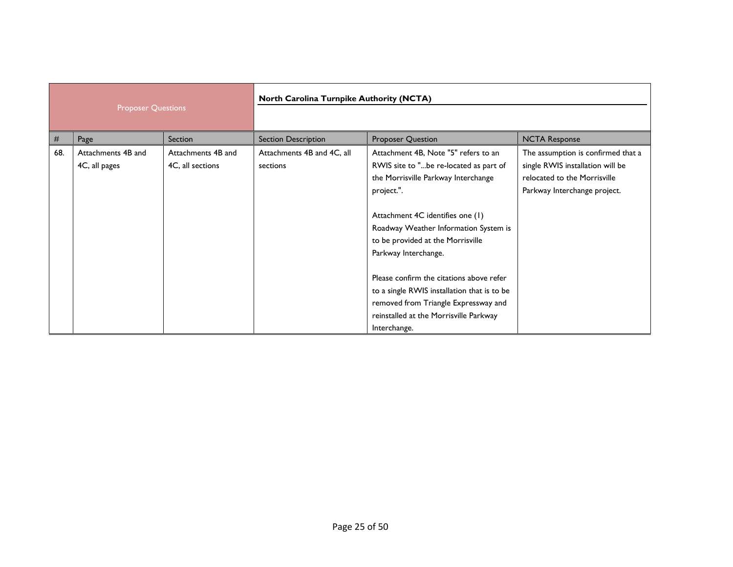| <b>Proposer Questions</b> |                                     | North Carolina Turnpike Authority (NCTA) |                                        |                                                                                                                                                                                                                                                                               |                                                                                                                                        |
|---------------------------|-------------------------------------|------------------------------------------|----------------------------------------|-------------------------------------------------------------------------------------------------------------------------------------------------------------------------------------------------------------------------------------------------------------------------------|----------------------------------------------------------------------------------------------------------------------------------------|
| #                         | Page                                | Section                                  | Section Description                    | Proposer Question                                                                                                                                                                                                                                                             | <b>NCTA Response</b>                                                                                                                   |
| 68.                       | Attachments 4B and<br>4C, all pages | Attachments 4B and<br>4C, all sections   | Attachments 4B and 4C, all<br>sections | Attachment 4B, Note "5" refers to an<br>RWIS site to "be re-located as part of<br>the Morrisville Parkway Interchange<br>project.".<br>Attachment 4C identifies one (1)<br>Roadway Weather Information System is<br>to be provided at the Morrisville<br>Parkway Interchange. | The assumption is confirmed that a<br>single RWIS installation will be<br>relocated to the Morrisville<br>Parkway Interchange project. |
|                           |                                     |                                          |                                        | Please confirm the citations above refer<br>to a single RWIS installation that is to be<br>removed from Triangle Expressway and<br>reinstalled at the Morrisville Parkway<br>Interchange.                                                                                     |                                                                                                                                        |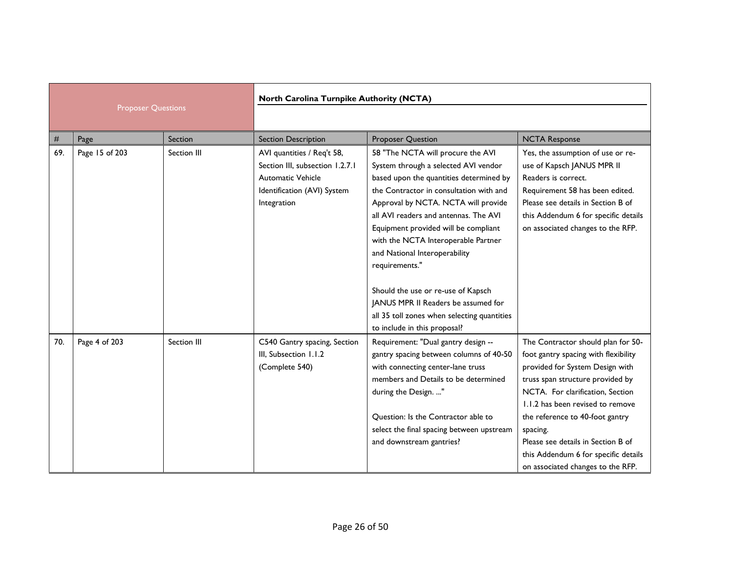|                           |                | North Carolina Turnpike Authority (NCTA) |                                                                                                                                         |                                                                                                                                                                                                                                                                                                                                                                                                                         |                                                                                                                                                                                                                                                                                                                                                                                             |
|---------------------------|----------------|------------------------------------------|-----------------------------------------------------------------------------------------------------------------------------------------|-------------------------------------------------------------------------------------------------------------------------------------------------------------------------------------------------------------------------------------------------------------------------------------------------------------------------------------------------------------------------------------------------------------------------|---------------------------------------------------------------------------------------------------------------------------------------------------------------------------------------------------------------------------------------------------------------------------------------------------------------------------------------------------------------------------------------------|
| <b>Proposer Questions</b> |                |                                          |                                                                                                                                         |                                                                                                                                                                                                                                                                                                                                                                                                                         |                                                                                                                                                                                                                                                                                                                                                                                             |
| #                         | Page           | Section                                  | <b>Section Description</b>                                                                                                              | <b>Proposer Question</b>                                                                                                                                                                                                                                                                                                                                                                                                | <b>NCTA Response</b>                                                                                                                                                                                                                                                                                                                                                                        |
| 69.                       | Page 15 of 203 | Section III                              | AVI quantities / Req't 58,<br>Section III, subsection 1.2.7.1<br><b>Automatic Vehicle</b><br>Identification (AVI) System<br>Integration | 58 "The NCTA will procure the AVI<br>System through a selected AVI vendor<br>based upon the quantities determined by<br>the Contractor in consultation with and<br>Approval by NCTA. NCTA will provide<br>all AVI readers and antennas. The AVI<br>Equipment provided will be compliant<br>with the NCTA Interoperable Partner<br>and National Interoperability<br>requirements."<br>Should the use or re-use of Kapsch | Yes, the assumption of use or re-<br>use of Kapsch JANUS MPR II<br>Readers is correct.<br>Requirement 58 has been edited.<br>Please see details in Section B of<br>this Addendum 6 for specific details<br>on associated changes to the RFP.                                                                                                                                                |
|                           |                |                                          |                                                                                                                                         | JANUS MPR II Readers be assumed for<br>all 35 toll zones when selecting quantities<br>to include in this proposal?                                                                                                                                                                                                                                                                                                      |                                                                                                                                                                                                                                                                                                                                                                                             |
| 70.                       | Page 4 of 203  | Section III                              | C540 Gantry spacing, Section<br>III, Subsection 1.1.2<br>(Complete 540)                                                                 | Requirement: "Dual gantry design --<br>gantry spacing between columns of 40-50<br>with connecting center-lane truss<br>members and Details to be determined<br>during the Design. "<br>Question: Is the Contractor able to<br>select the final spacing between upstream<br>and downstream gantries?                                                                                                                     | The Contractor should plan for 50-<br>foot gantry spacing with flexibility<br>provided for System Design with<br>truss span structure provided by<br>NCTA. For clarification, Section<br>1.1.2 has been revised to remove<br>the reference to 40-foot gantry<br>spacing.<br>Please see details in Section B of<br>this Addendum 6 for specific details<br>on associated changes to the RFP. |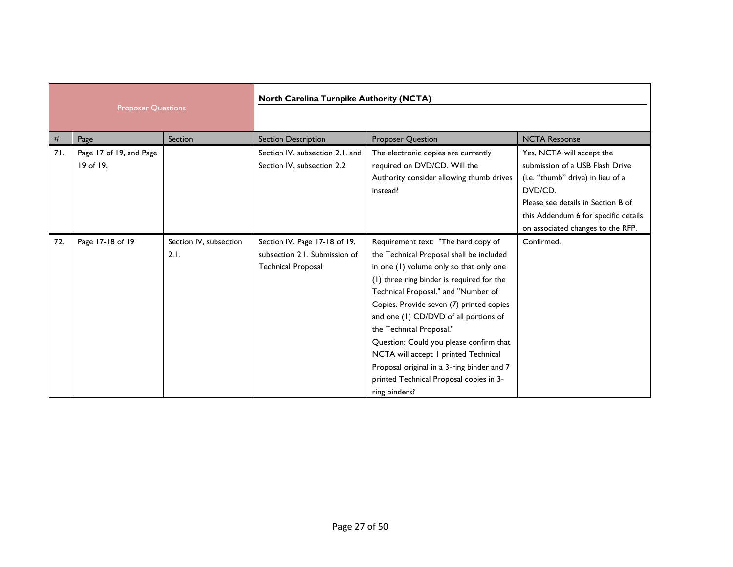| <b>Proposer Questions</b> |                         | <b>North Carolina Turnpike Authority (NCTA)</b> |                                 |                                            |                                      |
|---------------------------|-------------------------|-------------------------------------------------|---------------------------------|--------------------------------------------|--------------------------------------|
|                           |                         |                                                 |                                 |                                            |                                      |
| #                         | Page                    | Section                                         | Section Description             | <b>Proposer Question</b>                   | <b>NCTA Response</b>                 |
| 71.                       | Page 17 of 19, and Page |                                                 | Section IV, subsection 2.1. and | The electronic copies are currently        | Yes, NCTA will accept the            |
|                           | 19 of 19,               |                                                 | Section IV, subsection 2.2      | required on DVD/CD. Will the               | submission of a USB Flash Drive      |
|                           |                         |                                                 |                                 | Authority consider allowing thumb drives   | (i.e. "thumb" drive) in lieu of a    |
|                           |                         |                                                 |                                 | instead?                                   | DVD/CD.                              |
|                           |                         |                                                 |                                 |                                            | Please see details in Section B of   |
|                           |                         |                                                 |                                 |                                            | this Addendum 6 for specific details |
|                           |                         |                                                 |                                 |                                            | on associated changes to the RFP.    |
| 72.                       | Page 17-18 of 19        | Section IV, subsection                          | Section IV, Page 17-18 of 19,   | Requirement text: "The hard copy of        | Confirmed.                           |
|                           |                         | 2.1.                                            | subsection 2.1. Submission of   | the Technical Proposal shall be included   |                                      |
|                           |                         |                                                 | <b>Technical Proposal</b>       | in one (1) volume only so that only one    |                                      |
|                           |                         |                                                 |                                 | (1) three ring binder is required for the  |                                      |
|                           |                         |                                                 |                                 | Technical Proposal." and "Number of        |                                      |
|                           |                         |                                                 |                                 | Copies. Provide seven (7) printed copies   |                                      |
|                           |                         |                                                 |                                 | and one (1) CD/DVD of all portions of      |                                      |
|                           |                         |                                                 |                                 | the Technical Proposal."                   |                                      |
|                           |                         |                                                 |                                 | Question: Could you please confirm that    |                                      |
|                           |                         |                                                 |                                 | NCTA will accept 1 printed Technical       |                                      |
|                           |                         |                                                 |                                 | Proposal original in a 3-ring binder and 7 |                                      |
|                           |                         |                                                 |                                 | printed Technical Proposal copies in 3-    |                                      |
|                           |                         |                                                 |                                 | ring binders?                              |                                      |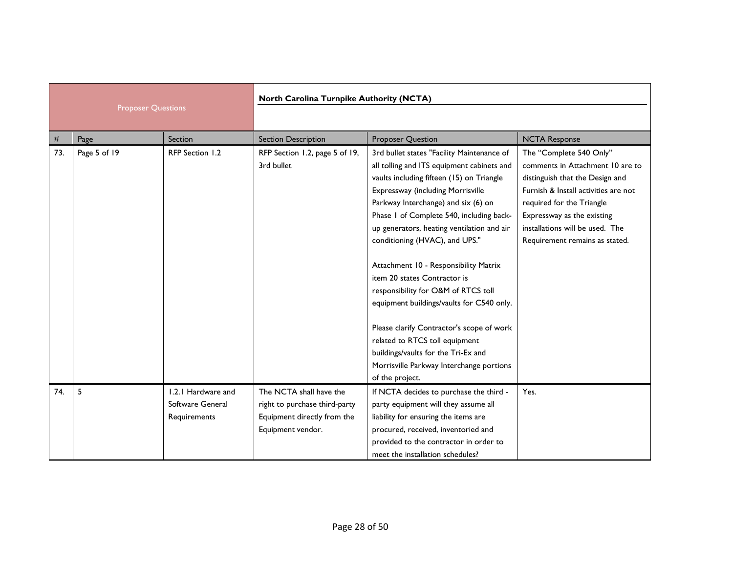|                           |              | North Carolina Turnpike Authority (NCTA)               |                                                                                                              |                                                                                                                                                                                                                                                                                                                                                                                                                                                                                                                                                         |                                                                                                                                                                                                                                                                        |
|---------------------------|--------------|--------------------------------------------------------|--------------------------------------------------------------------------------------------------------------|---------------------------------------------------------------------------------------------------------------------------------------------------------------------------------------------------------------------------------------------------------------------------------------------------------------------------------------------------------------------------------------------------------------------------------------------------------------------------------------------------------------------------------------------------------|------------------------------------------------------------------------------------------------------------------------------------------------------------------------------------------------------------------------------------------------------------------------|
| <b>Proposer Questions</b> |              |                                                        |                                                                                                              |                                                                                                                                                                                                                                                                                                                                                                                                                                                                                                                                                         |                                                                                                                                                                                                                                                                        |
| #                         | Page         | Section                                                | <b>Section Description</b>                                                                                   | <b>Proposer Question</b>                                                                                                                                                                                                                                                                                                                                                                                                                                                                                                                                | <b>NCTA Response</b>                                                                                                                                                                                                                                                   |
| 73.                       | Page 5 of 19 | RFP Section 1.2                                        | RFP Section 1.2, page 5 of 19,<br>3rd bullet                                                                 | 3rd bullet states "Facility Maintenance of<br>all tolling and ITS equipment cabinets and<br>vaults including fifteen (15) on Triangle<br>Expressway (including Morrisville<br>Parkway Interchange) and six (6) on<br>Phase I of Complete 540, including back-<br>up generators, heating ventilation and air<br>conditioning (HVAC), and UPS."<br>Attachment 10 - Responsibility Matrix<br>item 20 states Contractor is<br>responsibility for O&M of RTCS toll<br>equipment buildings/vaults for C540 only.<br>Please clarify Contractor's scope of work | The "Complete 540 Only"<br>comments in Attachment 10 are to<br>distinguish that the Design and<br>Furnish & Install activities are not<br>required for the Triangle<br>Expressway as the existing<br>installations will be used. The<br>Requirement remains as stated. |
|                           |              |                                                        |                                                                                                              | related to RTCS toll equipment<br>buildings/vaults for the Tri-Ex and<br>Morrisville Parkway Interchange portions<br>of the project.                                                                                                                                                                                                                                                                                                                                                                                                                    |                                                                                                                                                                                                                                                                        |
| 74.                       | 5            | 1.2.1 Hardware and<br>Software General<br>Requirements | The NCTA shall have the<br>right to purchase third-party<br>Equipment directly from the<br>Equipment vendor. | If NCTA decides to purchase the third -<br>party equipment will they assume all<br>liability for ensuring the items are<br>procured, received, inventoried and<br>provided to the contractor in order to<br>meet the installation schedules?                                                                                                                                                                                                                                                                                                            | Yes.                                                                                                                                                                                                                                                                   |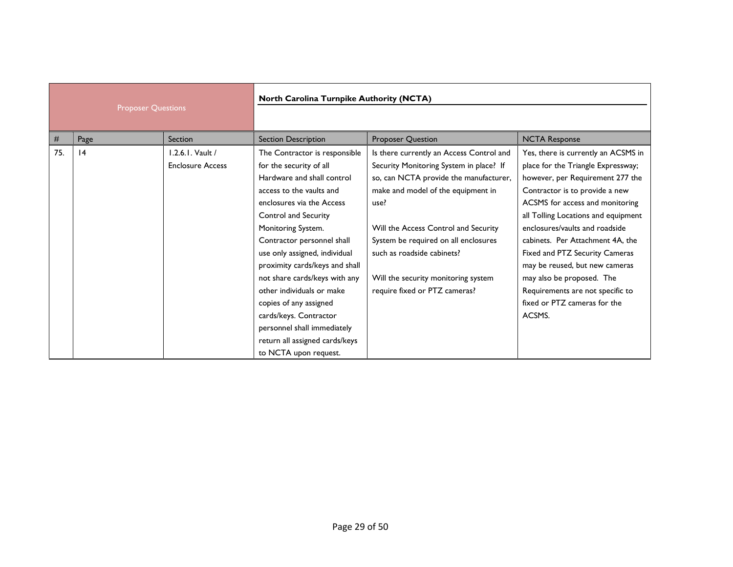| <b>Proposer Questions</b> |      | North Carolina Turnpike Authority (NCTA) |                                |                                          |                                     |
|---------------------------|------|------------------------------------------|--------------------------------|------------------------------------------|-------------------------------------|
|                           |      |                                          |                                |                                          |                                     |
| #                         | Page | Section                                  | <b>Section Description</b>     | <b>Proposer Question</b>                 | <b>NCTA Response</b>                |
| 75.                       | 4    | 1.2.6.1. Vault /                         | The Contractor is responsible  | Is there currently an Access Control and | Yes, there is currently an ACSMS in |
|                           |      | <b>Enclosure Access</b>                  | for the security of all        | Security Monitoring System in place? If  | place for the Triangle Expressway;  |
|                           |      |                                          | Hardware and shall control     | so, can NCTA provide the manufacturer,   | however, per Requirement 277 the    |
|                           |      |                                          | access to the vaults and       | make and model of the equipment in       | Contractor is to provide a new      |
|                           |      |                                          | enclosures via the Access      | use?                                     | ACSMS for access and monitoring     |
|                           |      |                                          | Control and Security           |                                          | all Tolling Locations and equipment |
|                           |      |                                          | Monitoring System.             | Will the Access Control and Security     | enclosures/vaults and roadside      |
|                           |      |                                          | Contractor personnel shall     | System be required on all enclosures     | cabinets. Per Attachment 4A, the    |
|                           |      |                                          | use only assigned, individual  | such as roadside cabinets?               | Fixed and PTZ Security Cameras      |
|                           |      |                                          | proximity cards/keys and shall |                                          | may be reused, but new cameras      |
|                           |      |                                          | not share cards/keys with any  | Will the security monitoring system      | may also be proposed. The           |
|                           |      |                                          | other individuals or make      | require fixed or PTZ cameras?            | Requirements are not specific to    |
|                           |      |                                          | copies of any assigned         |                                          | fixed or PTZ cameras for the        |
|                           |      |                                          | cards/keys. Contractor         |                                          | ACSMS.                              |
|                           |      |                                          | personnel shall immediately    |                                          |                                     |
|                           |      |                                          | return all assigned cards/keys |                                          |                                     |
|                           |      |                                          | to NCTA upon request.          |                                          |                                     |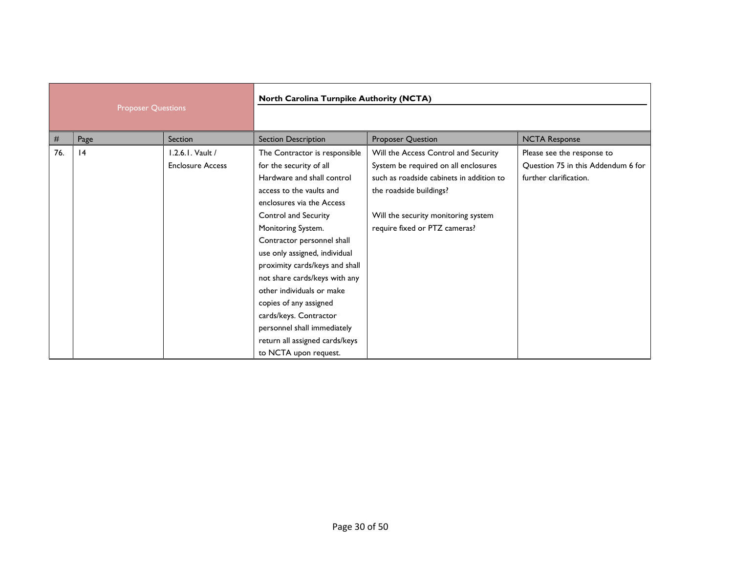| <b>Proposer Questions</b> |      | North Carolina Turnpike Authority (NCTA)    |                                                                                                                                                                                                                                                                                                                                                                                                                                                                                                            |                                                                                                                                                                                                                             |                                                                                            |
|---------------------------|------|---------------------------------------------|------------------------------------------------------------------------------------------------------------------------------------------------------------------------------------------------------------------------------------------------------------------------------------------------------------------------------------------------------------------------------------------------------------------------------------------------------------------------------------------------------------|-----------------------------------------------------------------------------------------------------------------------------------------------------------------------------------------------------------------------------|--------------------------------------------------------------------------------------------|
|                           |      |                                             |                                                                                                                                                                                                                                                                                                                                                                                                                                                                                                            |                                                                                                                                                                                                                             |                                                                                            |
| #                         | Page | Section                                     | <b>Section Description</b>                                                                                                                                                                                                                                                                                                                                                                                                                                                                                 | <b>Proposer Question</b>                                                                                                                                                                                                    | <b>NCTA Response</b>                                                                       |
| 76.                       | 4    | 1.2.6.1. Vault /<br><b>Enclosure Access</b> | The Contractor is responsible<br>for the security of all<br>Hardware and shall control<br>access to the vaults and<br>enclosures via the Access<br>Control and Security<br>Monitoring System.<br>Contractor personnel shall<br>use only assigned, individual<br>proximity cards/keys and shall<br>not share cards/keys with any<br>other individuals or make<br>copies of any assigned<br>cards/keys. Contractor<br>personnel shall immediately<br>return all assigned cards/keys<br>to NCTA upon request. | Will the Access Control and Security<br>System be required on all enclosures<br>such as roadside cabinets in addition to<br>the roadside buildings?<br>Will the security monitoring system<br>require fixed or PTZ cameras? | Please see the response to<br>Question 75 in this Addendum 6 for<br>further clarification. |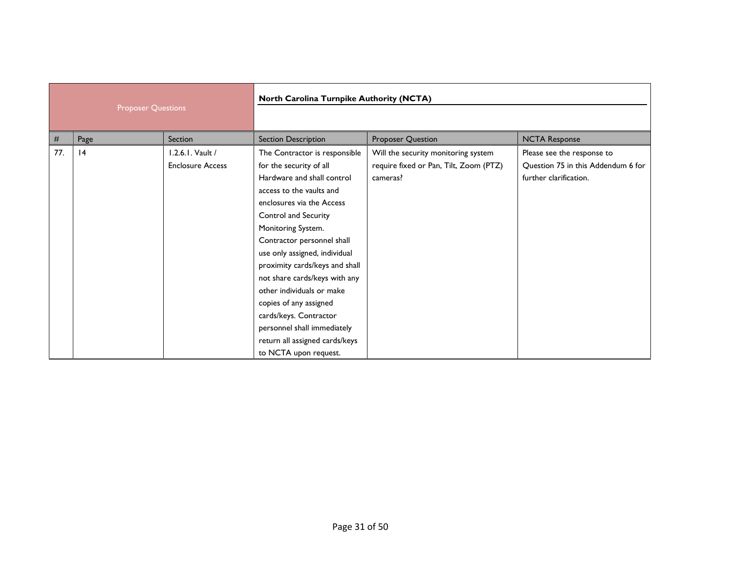| <b>Proposer Questions</b> |      | North Carolina Turnpike Authority (NCTA)    |                                                                                                                                                                                                                                                                                                                                                                                                                                                                                                            |                                                                                           |                                                                                            |
|---------------------------|------|---------------------------------------------|------------------------------------------------------------------------------------------------------------------------------------------------------------------------------------------------------------------------------------------------------------------------------------------------------------------------------------------------------------------------------------------------------------------------------------------------------------------------------------------------------------|-------------------------------------------------------------------------------------------|--------------------------------------------------------------------------------------------|
| #                         | Page | Section                                     | <b>Section Description</b>                                                                                                                                                                                                                                                                                                                                                                                                                                                                                 | <b>Proposer Question</b>                                                                  | <b>NCTA Response</b>                                                                       |
| 77.                       | 4    | 1.2.6.1. Vault /<br><b>Enclosure Access</b> | The Contractor is responsible<br>for the security of all<br>Hardware and shall control<br>access to the vaults and<br>enclosures via the Access<br>Control and Security<br>Monitoring System.<br>Contractor personnel shall<br>use only assigned, individual<br>proximity cards/keys and shall<br>not share cards/keys with any<br>other individuals or make<br>copies of any assigned<br>cards/keys. Contractor<br>personnel shall immediately<br>return all assigned cards/keys<br>to NCTA upon request. | Will the security monitoring system<br>require fixed or Pan, Tilt, Zoom (PTZ)<br>cameras? | Please see the response to<br>Question 75 in this Addendum 6 for<br>further clarification. |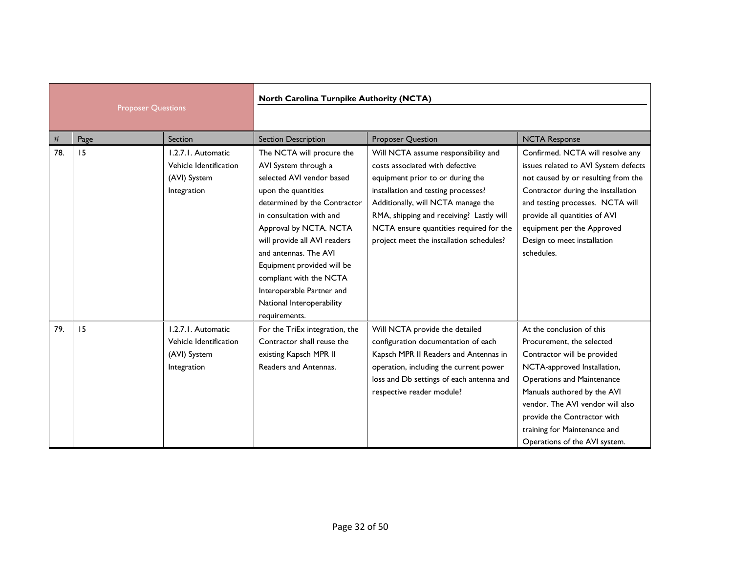| <b>Proposer Questions</b> |      | North Carolina Turnpike Authority (NCTA)                                    |                                                                                                                                                                                                                                                                                                                                                                                          |                                                                                                                                                                                                                                                                                                                            |                                                                                                                                                                                                                                                                                                                       |  |
|---------------------------|------|-----------------------------------------------------------------------------|------------------------------------------------------------------------------------------------------------------------------------------------------------------------------------------------------------------------------------------------------------------------------------------------------------------------------------------------------------------------------------------|----------------------------------------------------------------------------------------------------------------------------------------------------------------------------------------------------------------------------------------------------------------------------------------------------------------------------|-----------------------------------------------------------------------------------------------------------------------------------------------------------------------------------------------------------------------------------------------------------------------------------------------------------------------|--|
| #                         | Page | Section                                                                     | <b>Section Description</b>                                                                                                                                                                                                                                                                                                                                                               | <b>Proposer Question</b>                                                                                                                                                                                                                                                                                                   | <b>NCTA Response</b>                                                                                                                                                                                                                                                                                                  |  |
| 78.                       | 15   | 1.2.7.1. Automatic<br>Vehicle Identification<br>(AVI) System<br>Integration | The NCTA will procure the<br>AVI System through a<br>selected AVI vendor based<br>upon the quantities<br>determined by the Contractor<br>in consultation with and<br>Approval by NCTA. NCTA<br>will provide all AVI readers<br>and antennas. The AVI<br>Equipment provided will be<br>compliant with the NCTA<br>Interoperable Partner and<br>National Interoperability<br>requirements. | Will NCTA assume responsibility and<br>costs associated with defective<br>equipment prior to or during the<br>installation and testing processes?<br>Additionally, will NCTA manage the<br>RMA, shipping and receiving? Lastly will<br>NCTA ensure quantities required for the<br>project meet the installation schedules? | Confirmed. NCTA will resolve any<br>issues related to AVI System defects<br>not caused by or resulting from the<br>Contractor during the installation<br>and testing processes. NCTA will<br>provide all quantities of AVI<br>equipment per the Approved<br>Design to meet installation<br>schedules.                 |  |
| 79.                       | 15   | 1.2.7.1. Automatic<br>Vehicle Identification<br>(AVI) System<br>Integration | For the TriEx integration, the<br>Contractor shall reuse the<br>existing Kapsch MPR II<br>Readers and Antennas.                                                                                                                                                                                                                                                                          | Will NCTA provide the detailed<br>configuration documentation of each<br>Kapsch MPR II Readers and Antennas in<br>operation, including the current power<br>loss and Db settings of each antenna and<br>respective reader module?                                                                                          | At the conclusion of this<br>Procurement, the selected<br>Contractor will be provided<br>NCTA-approved Installation,<br>Operations and Maintenance<br>Manuals authored by the AVI<br>vendor. The AVI vendor will also<br>provide the Contractor with<br>training for Maintenance and<br>Operations of the AVI system. |  |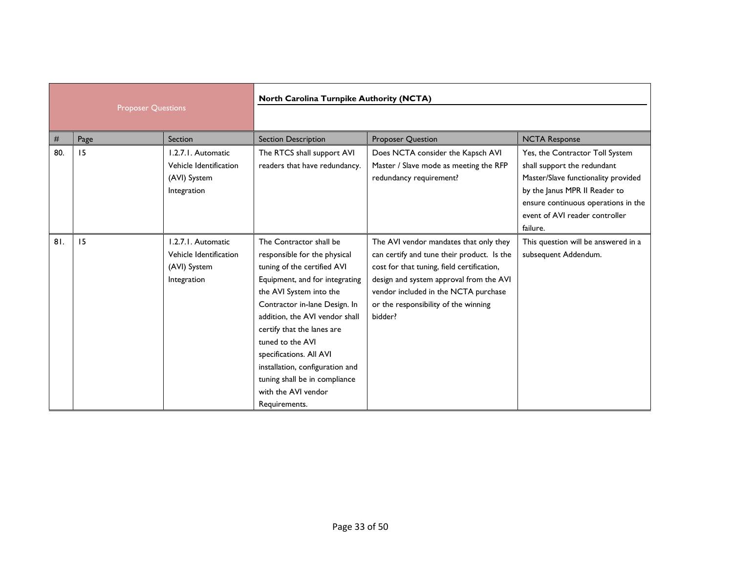|     | <b>Proposer Questions</b> |                                                                             | <b>North Carolina Turnpike Authority (NCTA)</b>                                                                                                                                                                                                                                                                                                                                                                 |                                                                                                                                                                                                                                                                          |                                                                                                                                                                                                                             |
|-----|---------------------------|-----------------------------------------------------------------------------|-----------------------------------------------------------------------------------------------------------------------------------------------------------------------------------------------------------------------------------------------------------------------------------------------------------------------------------------------------------------------------------------------------------------|--------------------------------------------------------------------------------------------------------------------------------------------------------------------------------------------------------------------------------------------------------------------------|-----------------------------------------------------------------------------------------------------------------------------------------------------------------------------------------------------------------------------|
|     |                           |                                                                             |                                                                                                                                                                                                                                                                                                                                                                                                                 |                                                                                                                                                                                                                                                                          |                                                                                                                                                                                                                             |
| #   | Page                      | <b>Section</b>                                                              | <b>Section Description</b>                                                                                                                                                                                                                                                                                                                                                                                      | <b>Proposer Question</b>                                                                                                                                                                                                                                                 | <b>NCTA Response</b>                                                                                                                                                                                                        |
| 80. | 15                        | 1.2.7.1. Automatic<br>Vehicle Identification<br>(AVI) System<br>Integration | The RTCS shall support AVI<br>readers that have redundancy.                                                                                                                                                                                                                                                                                                                                                     | Does NCTA consider the Kapsch AVI<br>Master / Slave mode as meeting the RFP<br>redundancy requirement?                                                                                                                                                                   | Yes, the Contractor Toll System<br>shall support the redundant<br>Master/Slave functionality provided<br>by the Janus MPR II Reader to<br>ensure continuous operations in the<br>event of AVI reader controller<br>failure. |
| 81. | 15                        | 1.2.7.1. Automatic<br>Vehicle Identification<br>(AVI) System<br>Integration | The Contractor shall be<br>responsible for the physical<br>tuning of the certified AVI<br>Equipment, and for integrating<br>the AVI System into the<br>Contractor in-lane Design. In<br>addition, the AVI vendor shall<br>certify that the lanes are<br>tuned to the AVI<br>specifications. All AVI<br>installation, configuration and<br>tuning shall be in compliance<br>with the AVI vendor<br>Requirements. | The AVI vendor mandates that only they<br>can certify and tune their product. Is the<br>cost for that tuning, field certification,<br>design and system approval from the AVI<br>vendor included in the NCTA purchase<br>or the responsibility of the winning<br>bidder? | This question will be answered in a<br>subsequent Addendum.                                                                                                                                                                 |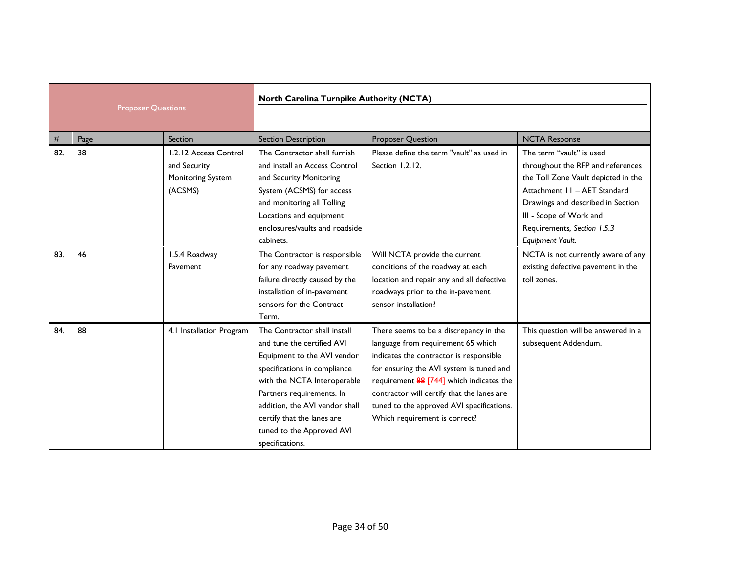| <b>Proposer Questions</b> |      | North Carolina Turnpike Authority (NCTA) |                                |                                            |                                     |
|---------------------------|------|------------------------------------------|--------------------------------|--------------------------------------------|-------------------------------------|
|                           |      |                                          |                                |                                            |                                     |
| #                         | Page | Section                                  | <b>Section Description</b>     | <b>Proposer Question</b>                   | <b>NCTA Response</b>                |
| 82.                       | 38   | 1.2.12 Access Control                    | The Contractor shall furnish   | Please define the term "vault" as used in  | The term "vault" is used            |
|                           |      | and Security                             | and install an Access Control  | Section 1.2.12.                            | throughout the RFP and references   |
|                           |      | Monitoring System                        | and Security Monitoring        |                                            | the Toll Zone Vault depicted in the |
|                           |      | (ACSMS)                                  | System (ACSMS) for access      |                                            | Attachment 11 - AET Standard        |
|                           |      |                                          | and monitoring all Tolling     |                                            | Drawings and described in Section   |
|                           |      |                                          | Locations and equipment        |                                            | III - Scope of Work and             |
|                           |      |                                          | enclosures/vaults and roadside |                                            | Requirements, Section 1.5.3         |
|                           |      |                                          | cabinets.                      |                                            | Equipment Vault.                    |
| 83.                       | 46   | 1.5.4 Roadway                            | The Contractor is responsible  | Will NCTA provide the current              | NCTA is not currently aware of any  |
|                           |      | Pavement                                 | for any roadway pavement       | conditions of the roadway at each          | existing defective pavement in the  |
|                           |      |                                          | failure directly caused by the | location and repair any and all defective  | toll zones.                         |
|                           |      |                                          | installation of in-pavement    | roadways prior to the in-pavement          |                                     |
|                           |      |                                          | sensors for the Contract       | sensor installation?                       |                                     |
|                           |      |                                          | Term.                          |                                            |                                     |
| 84.                       | 88   | 4.1 Installation Program                 | The Contractor shall install   | There seems to be a discrepancy in the     | This question will be answered in a |
|                           |      |                                          | and tune the certified AVI     | language from requirement 65 which         | subsequent Addendum.                |
|                           |      |                                          | Equipment to the AVI vendor    | indicates the contractor is responsible    |                                     |
|                           |      |                                          | specifications in compliance   | for ensuring the AVI system is tuned and   |                                     |
|                           |      |                                          | with the NCTA Interoperable    | requirement 88 [744] which indicates the   |                                     |
|                           |      |                                          | Partners requirements. In      | contractor will certify that the lanes are |                                     |
|                           |      |                                          | addition, the AVI vendor shall | tuned to the approved AVI specifications.  |                                     |
|                           |      |                                          | certify that the lanes are     | Which requirement is correct?              |                                     |
|                           |      |                                          | tuned to the Approved AVI      |                                            |                                     |
|                           |      |                                          | specifications.                |                                            |                                     |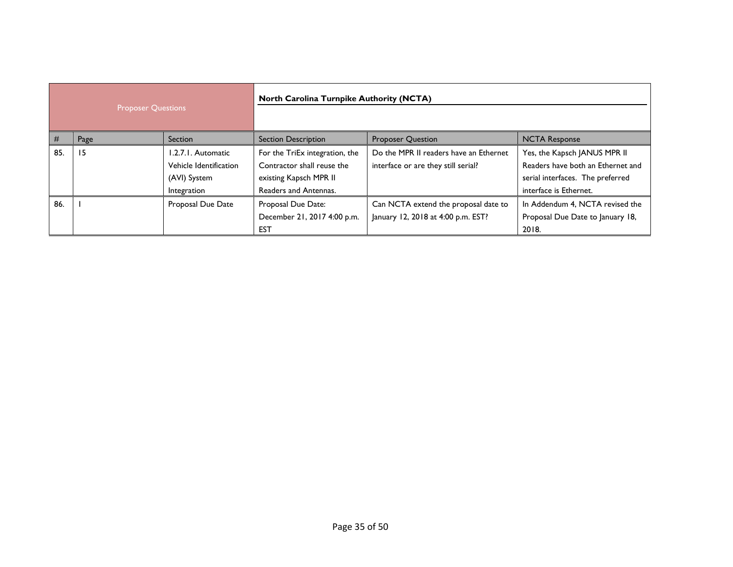| <b>Proposer Questions</b> |      | <b>North Carolina Turnpike Authority (NCTA)</b> |                                |                                        |                                   |
|---------------------------|------|-------------------------------------------------|--------------------------------|----------------------------------------|-----------------------------------|
| #                         | Page | <b>Section</b>                                  | <b>Section Description</b>     | <b>Proposer Question</b>               | <b>NCTA Response</b>              |
| 85.                       | 15   | 1.2.7.1. Automatic                              | For the TriEx integration, the | Do the MPR II readers have an Ethernet | Yes, the Kapsch JANUS MPR II      |
|                           |      | Vehicle Identification                          | Contractor shall reuse the     | interface or are they still serial?    | Readers have both an Ethernet and |
|                           |      | (AVI) System                                    | existing Kapsch MPR II         |                                        | serial interfaces. The preferred  |
|                           |      | Integration                                     | Readers and Antennas.          |                                        | interface is Ethernet.            |
| 86.                       |      | Proposal Due Date                               | Proposal Due Date:             | Can NCTA extend the proposal date to   | In Addendum 4, NCTA revised the   |
|                           |      |                                                 | December 21, 2017 4:00 p.m.    | January 12, 2018 at 4:00 p.m. EST?     | Proposal Due Date to January 18,  |
|                           |      |                                                 | <b>EST</b>                     |                                        | 2018.                             |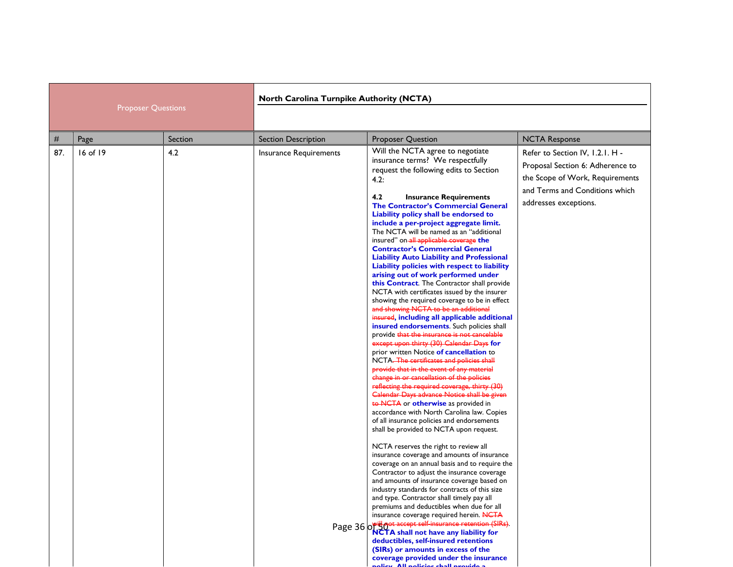| <b>Proposer Questions</b> |          | <b>North Carolina Turnpike Authority (NCTA)</b> |                            |                                                                                                                                                                                                                                                                                                                                                                                                                                                                                                                                                                                                                                                                                                                                                                                                                                                                                                                                                                                                                                                                                                                                                                                                                                                                                                                                                                                                                                                                                                                                                                                                                                                                                                                                                                                                                                                                                                                                                                                                                                                                                       |                                                                                                                                                                   |
|---------------------------|----------|-------------------------------------------------|----------------------------|---------------------------------------------------------------------------------------------------------------------------------------------------------------------------------------------------------------------------------------------------------------------------------------------------------------------------------------------------------------------------------------------------------------------------------------------------------------------------------------------------------------------------------------------------------------------------------------------------------------------------------------------------------------------------------------------------------------------------------------------------------------------------------------------------------------------------------------------------------------------------------------------------------------------------------------------------------------------------------------------------------------------------------------------------------------------------------------------------------------------------------------------------------------------------------------------------------------------------------------------------------------------------------------------------------------------------------------------------------------------------------------------------------------------------------------------------------------------------------------------------------------------------------------------------------------------------------------------------------------------------------------------------------------------------------------------------------------------------------------------------------------------------------------------------------------------------------------------------------------------------------------------------------------------------------------------------------------------------------------------------------------------------------------------------------------------------------------|-------------------------------------------------------------------------------------------------------------------------------------------------------------------|
| $^{\#}$                   | Page     | Section                                         | <b>Section Description</b> | <b>Proposer Question</b>                                                                                                                                                                                                                                                                                                                                                                                                                                                                                                                                                                                                                                                                                                                                                                                                                                                                                                                                                                                                                                                                                                                                                                                                                                                                                                                                                                                                                                                                                                                                                                                                                                                                                                                                                                                                                                                                                                                                                                                                                                                              | <b>NCTA Response</b>                                                                                                                                              |
| 87.                       | 16 of 19 | 4.2                                             | Insurance Requirements     | Will the NCTA agree to negotiate<br>insurance terms? We respectfully<br>request the following edits to Section<br>4.2:<br>4.2<br><b>Insurance Requirements</b><br><b>The Contractor's Commercial General</b><br>Liability policy shall be endorsed to<br>include a per-project aggregate limit.<br>The NCTA will be named as an "additional<br>insured" on-all applicable coverage the<br><b>Contractor's Commercial General</b><br><b>Liability Auto Liability and Professional</b><br>Liability policies with respect to liability<br>arising out of work performed under<br>this Contract. The Contractor shall provide<br>NCTA with certificates issued by the insurer<br>showing the required coverage to be in effect<br>and showing NCTA to be an additional<br>insured, including all applicable additional<br>insured endorsements. Such policies shall<br>provide that the insurance is not cancelable<br>except upon thirty (30) Calendar Days for<br>prior written Notice of cancellation to<br>NCTA. The certificates and policies shall<br>provide that in the event of any material<br>change in or cancellation of the policies<br>reflecting the required coverage, thirty (30)<br>Calendar Days advance Notice shall be given<br>to NCTA or otherwise as provided in<br>accordance with North Carolina law. Copies<br>of all insurance policies and endorsements<br>shall be provided to NCTA upon request.<br>NCTA reserves the right to review all<br>insurance coverage and amounts of insurance<br>coverage on an annual basis and to require the<br>Contractor to adjust the insurance coverage<br>and amounts of insurance coverage based on<br>industry standards for contracts of this size<br>and type. Contractor shall timely pay all<br>premiums and deductibles when due for all<br>insurance coverage required herein. NCTA<br>Page 36 or the not accept self-insurance retention (SIRs).<br>deductibles, self-insured retentions<br>(SIRs) or amounts in excess of the<br>coverage provided under the insurance<br>alicu. All naticiae chall nuovido | Refer to Section IV, I.2.I. H -<br>Proposal Section 6: Adherence to<br>the Scope of Work, Requirements<br>and Terms and Conditions which<br>addresses exceptions. |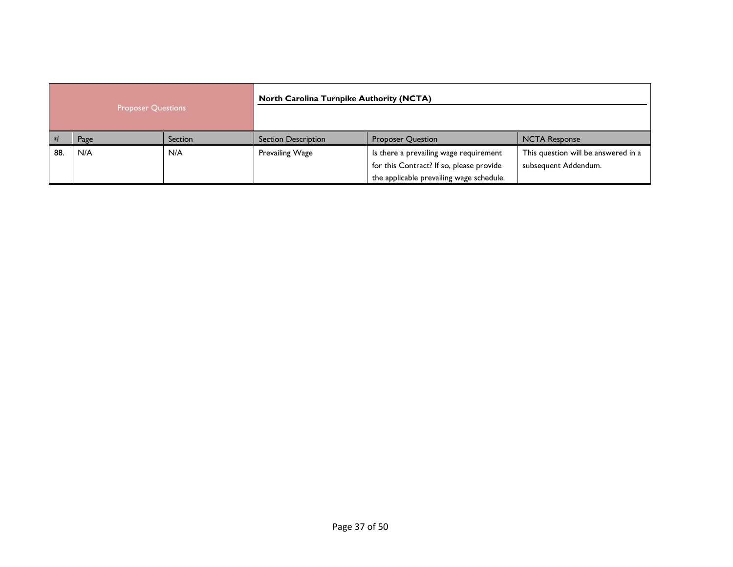| <b>Proposer Questions</b> |      | <b>North Carolina Turnpike Authority (NCTA)</b> |                            |                                                                                                                                |                                                             |
|---------------------------|------|-------------------------------------------------|----------------------------|--------------------------------------------------------------------------------------------------------------------------------|-------------------------------------------------------------|
| #                         | Page | Section                                         | <b>Section Description</b> | <b>Proposer Question</b>                                                                                                       | <b>NCTA Response</b>                                        |
| 88.                       | N/A  | N/A                                             | Prevailing Wage            | Is there a prevailing wage requirement<br>for this Contract? If so, please provide<br>the applicable prevailing wage schedule. | This question will be answered in a<br>subsequent Addendum. |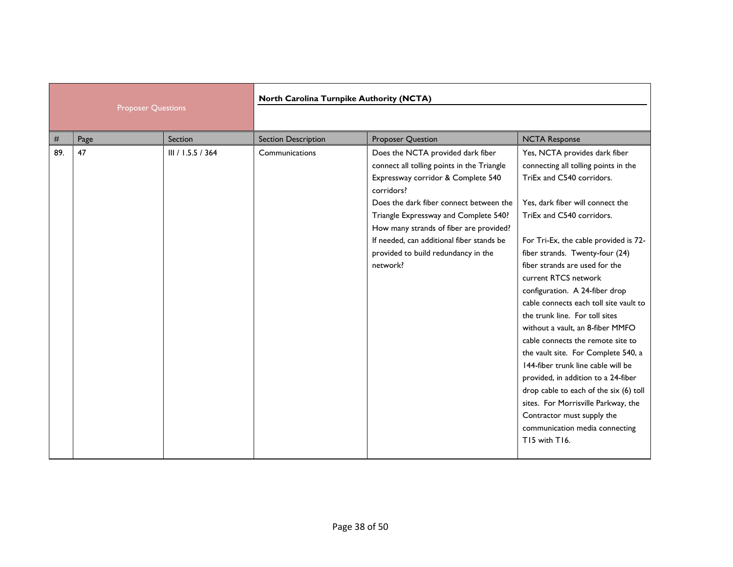| <b>Proposer Questions</b> |      | North Carolina Turnpike Authority (NCTA) |                            |                                                                                                                                                                                                                                                                                                                                                                    |                                                                                                                                                                                                                                                                                                                                                                                                                                                                                                                                                                                                                                                                                                                                                                                        |
|---------------------------|------|------------------------------------------|----------------------------|--------------------------------------------------------------------------------------------------------------------------------------------------------------------------------------------------------------------------------------------------------------------------------------------------------------------------------------------------------------------|----------------------------------------------------------------------------------------------------------------------------------------------------------------------------------------------------------------------------------------------------------------------------------------------------------------------------------------------------------------------------------------------------------------------------------------------------------------------------------------------------------------------------------------------------------------------------------------------------------------------------------------------------------------------------------------------------------------------------------------------------------------------------------------|
| #                         | Page | Section                                  | <b>Section Description</b> | <b>Proposer Question</b>                                                                                                                                                                                                                                                                                                                                           | <b>NCTA Response</b>                                                                                                                                                                                                                                                                                                                                                                                                                                                                                                                                                                                                                                                                                                                                                                   |
| 89.                       | 47   | III / I.5.5 / 364                        | Communications             | Does the NCTA provided dark fiber<br>connect all tolling points in the Triangle<br>Expressway corridor & Complete 540<br>corridors?<br>Does the dark fiber connect between the<br>Triangle Expressway and Complete 540?<br>How many strands of fiber are provided?<br>If needed, can additional fiber stands be<br>provided to build redundancy in the<br>network? | Yes, NCTA provides dark fiber<br>connecting all tolling points in the<br>TriEx and C540 corridors.<br>Yes, dark fiber will connect the<br>TriEx and C540 corridors.<br>For Tri-Ex, the cable provided is 72-<br>fiber strands. Twenty-four (24)<br>fiber strands are used for the<br>current RTCS network<br>configuration. A 24-fiber drop<br>cable connects each toll site vault to<br>the trunk line. For toll sites<br>without a vault, an 8-fiber MMFO<br>cable connects the remote site to<br>the vault site. For Complete 540, a<br>144-fiber trunk line cable will be<br>provided, in addition to a 24-fiber<br>drop cable to each of the six (6) toll<br>sites. For Morrisville Parkway, the<br>Contractor must supply the<br>communication media connecting<br>T15 with T16. |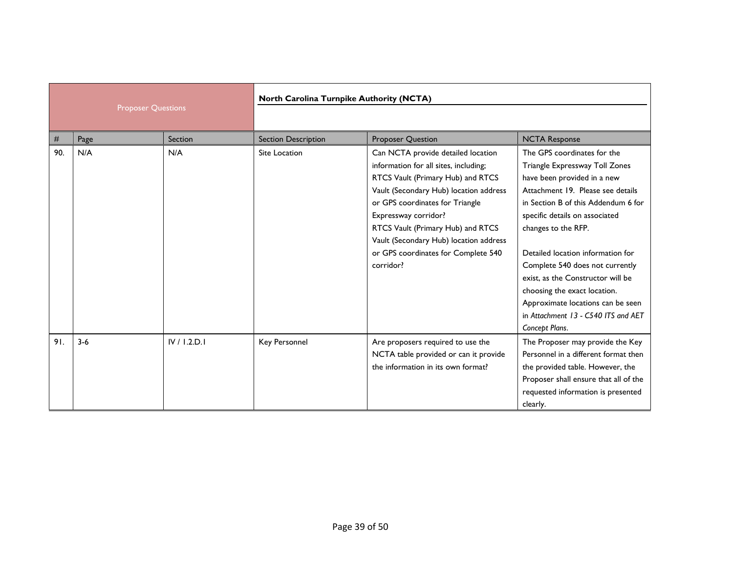|     | <b>Proposer Questions</b> |              | North Carolina Turnpike Authority (NCTA) |                                                                                                                                                                                                                                                                                                                                                          |                                                                                                                                                                                                                                                                                                                                                                                                                                                                              |
|-----|---------------------------|--------------|------------------------------------------|----------------------------------------------------------------------------------------------------------------------------------------------------------------------------------------------------------------------------------------------------------------------------------------------------------------------------------------------------------|------------------------------------------------------------------------------------------------------------------------------------------------------------------------------------------------------------------------------------------------------------------------------------------------------------------------------------------------------------------------------------------------------------------------------------------------------------------------------|
|     |                           |              |                                          |                                                                                                                                                                                                                                                                                                                                                          |                                                                                                                                                                                                                                                                                                                                                                                                                                                                              |
| #   | Page                      | Section      | <b>Section Description</b>               | <b>Proposer Question</b>                                                                                                                                                                                                                                                                                                                                 | <b>NCTA Response</b>                                                                                                                                                                                                                                                                                                                                                                                                                                                         |
| 90. | N/A                       | N/A          | <b>Site Location</b>                     | Can NCTA provide detailed location<br>information for all sites, including;<br>RTCS Vault (Primary Hub) and RTCS<br>Vault (Secondary Hub) location address<br>or GPS coordinates for Triangle<br>Expressway corridor?<br>RTCS Vault (Primary Hub) and RTCS<br>Vault (Secondary Hub) location address<br>or GPS coordinates for Complete 540<br>corridor? | The GPS coordinates for the<br>Triangle Expressway Toll Zones<br>have been provided in a new<br>Attachment 19. Please see details<br>in Section B of this Addendum 6 for<br>specific details on associated<br>changes to the RFP.<br>Detailed location information for<br>Complete 540 does not currently<br>exist, as the Constructor will be<br>choosing the exact location.<br>Approximate locations can be seen<br>in Attachment 13 - C540 ITS and AET<br>Concept Plans. |
| 91. | $3 - 6$                   | IV / 1.2.D.1 | Key Personnel                            | Are proposers required to use the<br>NCTA table provided or can it provide<br>the information in its own format?                                                                                                                                                                                                                                         | The Proposer may provide the Key<br>Personnel in a different format then<br>the provided table. However, the<br>Proposer shall ensure that all of the<br>requested information is presented<br>clearly.                                                                                                                                                                                                                                                                      |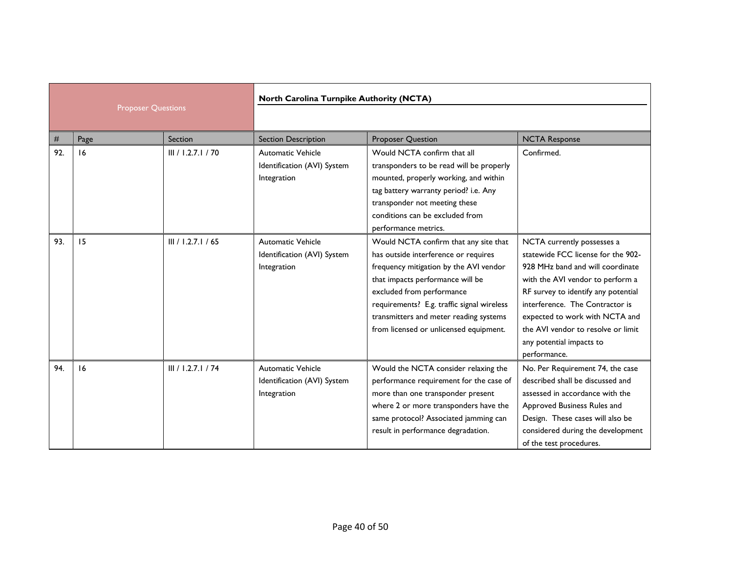| <b>Proposer Questions</b> |      | North Carolina Turnpike Authority (NCTA) |                                                                        |                                                                                                                                                                                                                                                                                                                            |                                                                                                                                                                                                                                                                                                                                        |
|---------------------------|------|------------------------------------------|------------------------------------------------------------------------|----------------------------------------------------------------------------------------------------------------------------------------------------------------------------------------------------------------------------------------------------------------------------------------------------------------------------|----------------------------------------------------------------------------------------------------------------------------------------------------------------------------------------------------------------------------------------------------------------------------------------------------------------------------------------|
| #                         | Page | Section                                  | <b>Section Description</b>                                             | <b>Proposer Question</b>                                                                                                                                                                                                                                                                                                   | <b>NCTA Response</b>                                                                                                                                                                                                                                                                                                                   |
| 92.                       | 16   | III / 1.2.7.1 / 70                       | Automatic Vehicle<br>Identification (AVI) System<br>Integration        | Would NCTA confirm that all<br>transponders to be read will be properly<br>mounted, properly working, and within<br>tag battery warranty period? i.e. Any<br>transponder not meeting these<br>conditions can be excluded from<br>performance metrics.                                                                      | Confirmed.                                                                                                                                                                                                                                                                                                                             |
| 93.                       | 15   | III / 1.2.7.1 / 65                       | <b>Automatic Vehicle</b><br>Identification (AVI) System<br>Integration | Would NCTA confirm that any site that<br>has outside interference or requires<br>frequency mitigation by the AVI vendor<br>that impacts performance will be<br>excluded from performance<br>requirements? E.g. traffic signal wireless<br>transmitters and meter reading systems<br>from licensed or unlicensed equipment. | NCTA currently possesses a<br>statewide FCC license for the 902-<br>928 MHz band and will coordinate<br>with the AVI vendor to perform a<br>RF survey to identify any potential<br>interference. The Contractor is<br>expected to work with NCTA and<br>the AVI vendor to resolve or limit<br>any potential impacts to<br>performance. |
| 94.                       | 16   | III / I.2.7.1 / 74                       | <b>Automatic Vehicle</b><br>Identification (AVI) System<br>Integration | Would the NCTA consider relaxing the<br>performance requirement for the case of<br>more than one transponder present<br>where 2 or more transponders have the<br>same protocol? Associated jamming can<br>result in performance degradation.                                                                               | No. Per Requirement 74, the case<br>described shall be discussed and<br>assessed in accordance with the<br>Approved Business Rules and<br>Design. These cases will also be<br>considered during the development<br>of the test procedures.                                                                                             |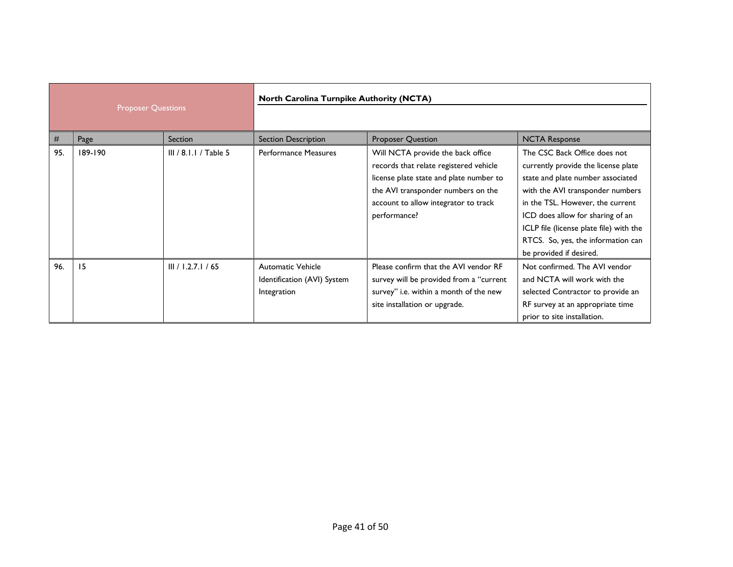| <b>Proposer Questions</b> |         | North Carolina Turnpike Authority (NCTA) |                                                                        |                                                                                                                                                                                                                      |                                                                                                                                                                                                                                                                                                                                  |
|---------------------------|---------|------------------------------------------|------------------------------------------------------------------------|----------------------------------------------------------------------------------------------------------------------------------------------------------------------------------------------------------------------|----------------------------------------------------------------------------------------------------------------------------------------------------------------------------------------------------------------------------------------------------------------------------------------------------------------------------------|
| #                         | Page    | Section                                  | <b>Section Description</b>                                             | <b>Proposer Question</b>                                                                                                                                                                                             | <b>NCTA Response</b>                                                                                                                                                                                                                                                                                                             |
| 95.                       | 189-190 | III / 8.1.1 / Table 5                    | <b>Performance Measures</b>                                            | Will NCTA provide the back office<br>records that relate registered vehicle<br>license plate state and plate number to<br>the AVI transponder numbers on the<br>account to allow integrator to track<br>performance? | The CSC Back Office does not<br>currently provide the license plate<br>state and plate number associated<br>with the AVI transponder numbers<br>in the TSL. However, the current<br>ICD does allow for sharing of an<br>ICLP file (license plate file) with the<br>RTCS. So, yes, the information can<br>be provided if desired. |
| 96.                       | 15      | III / 1.2.7.1 / 65                       | <b>Automatic Vehicle</b><br>Identification (AVI) System<br>Integration | Please confirm that the AVI vendor RF<br>survey will be provided from a "current<br>survey" i.e. within a month of the new<br>site installation or upgrade.                                                          | Not confirmed. The AVI vendor<br>and NCTA will work with the<br>selected Contractor to provide an<br>RF survey at an appropriate time<br>prior to site installation.                                                                                                                                                             |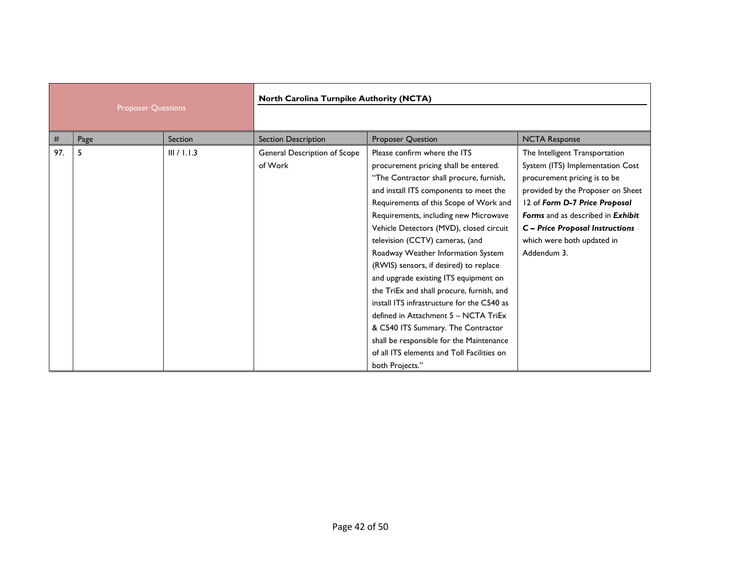| <b>Proposer Questions</b> |      | North Carolina Turnpike Authority (NCTA) |                                         |                                                                                                                                                                                                                                                                                                                                                                                                                                                                                                                                                                                                                                                                                                                                            |                                                                                                                                                                                                                                                                                                      |
|---------------------------|------|------------------------------------------|-----------------------------------------|--------------------------------------------------------------------------------------------------------------------------------------------------------------------------------------------------------------------------------------------------------------------------------------------------------------------------------------------------------------------------------------------------------------------------------------------------------------------------------------------------------------------------------------------------------------------------------------------------------------------------------------------------------------------------------------------------------------------------------------------|------------------------------------------------------------------------------------------------------------------------------------------------------------------------------------------------------------------------------------------------------------------------------------------------------|
|                           |      |                                          |                                         |                                                                                                                                                                                                                                                                                                                                                                                                                                                                                                                                                                                                                                                                                                                                            |                                                                                                                                                                                                                                                                                                      |
| #                         | Page | Section                                  | <b>Section Description</b>              | Proposer Question                                                                                                                                                                                                                                                                                                                                                                                                                                                                                                                                                                                                                                                                                                                          | <b>NCTA Response</b>                                                                                                                                                                                                                                                                                 |
| 97.                       | 5    | III / I.1.3                              | General Description of Scope<br>of Work | Please confirm where the ITS<br>procurement pricing shall be entered.<br>"The Contractor shall procure, furnish,<br>and install ITS components to meet the<br>Requirements of this Scope of Work and<br>Requirements, including new Microwave<br>Vehicle Detectors (MVD), closed circuit<br>television (CCTV) cameras, (and<br>Roadway Weather Information System<br>(RWIS) sensors, if desired) to replace<br>and upgrade existing ITS equipment on<br>the TriEx and shall procure, furnish, and<br>install ITS infrastructure for the C540 as<br>defined in Attachment 5 - NCTA TriEx<br>& C540 ITS Summary. The Contractor<br>shall be responsible for the Maintenance<br>of all ITS elements and Toll Facilities on<br>both Projects." | The Intelligent Transportation<br>System (ITS) Implementation Cost<br>procurement pricing is to be<br>provided by the Proposer on Sheet<br>12 of Form D-7 Price Proposal<br>Forms and as described in Exhibit<br><b>C</b> - Price Proposal Instructions<br>which were both updated in<br>Addendum 3. |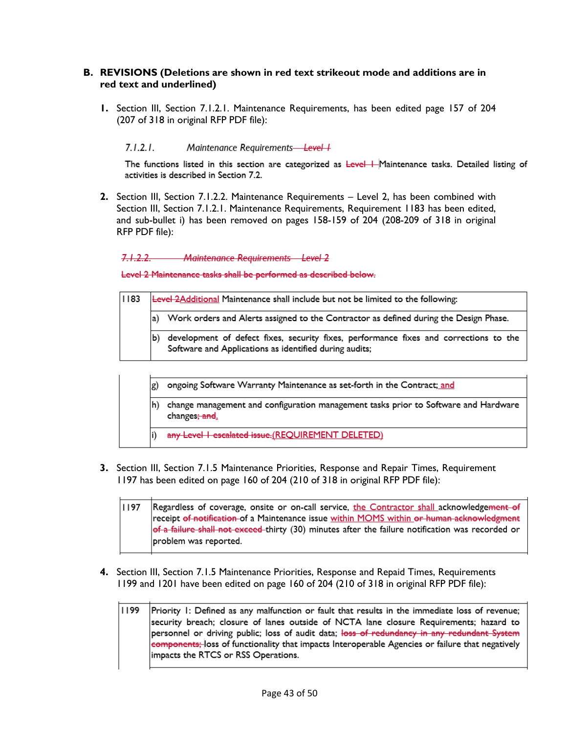### **B. REVISIONS (Deletions are shown in red text strikeout mode and additions are in red text and underlined)**

**1.** Section III, Section 7.1.2.1. Maintenance Requirements, has been edited page 157 of 204 (207 of 318 in original RFP PDF file):

#### $7.1.2.1.$ Maintenance Requirements-Level +

The functions listed in this section are categorized as Level | Maintenance tasks. Detailed listing of activities is described in Section 7.2.

**2.** Section III, Section 7.1.2.2. Maintenance Requirements – Level 2, has been combined with Section III, Section 7.1.2.1. Maintenance Requirements, Requirement 1183 has been edited, and sub-bullet i) has been removed on pages 158-159 of 204 (208-209 of 318 in original RFP PDF file):

 $7122$ Maintenance Requirements Level 2

Level 2 Maintenance tasks shall be performed as described below.

| 1183 | Level 2Additional Maintenance shall include but not be limited to the following:                                                                      |  |  |  |
|------|-------------------------------------------------------------------------------------------------------------------------------------------------------|--|--|--|
|      | Work orders and Alerts assigned to the Contractor as defined during the Design Phase.<br>la)                                                          |  |  |  |
|      | development of defect fixes, security fixes, performance fixes and corrections to the<br>b)<br>Software and Applications as identified during audits; |  |  |  |

- ongoing Software Warranty Maintenance as set-forth in the Contract; and g)
- h) change management and configuration management tasks prior to Software and Hardware changes<del>; and</del>.
- any Level | escalated issue.(REQUIREMENT DELETED)
- **3.** Section III, Section 7.1.5 Maintenance Priorities, Response and Repair Times, Requirement 1197 has been edited on page 160 of 204 (210 of 318 in original RFP PDF file):

1197 Regardless of coverage, onsite or on-call service, the Contractor shall acknowledgement of receipt of notification of a Maintenance issue within MOMS within or human acknowledgment of a failure shall not exceed thirty (30) minutes after the failure notification was recorded or problem was reported.

- **4.** Section III, Section 7.1.5 Maintenance Priorities, Response and Repaid Times, Requirements 1199 and 1201 have been edited on page 160 of 204 (210 of 318 in original RFP PDF file):
	- 1199 Priority I: Defined as any malfunction or fault that results in the immediate loss of revenue; security breach; closure of lanes outside of NCTA lane closure Requirements; hazard to personnel or driving public; loss of audit data; loss of redundancy in any redundant System components; loss of functionality that impacts Interoperable Agencies or failure that negatively impacts the RTCS or RSS Operations.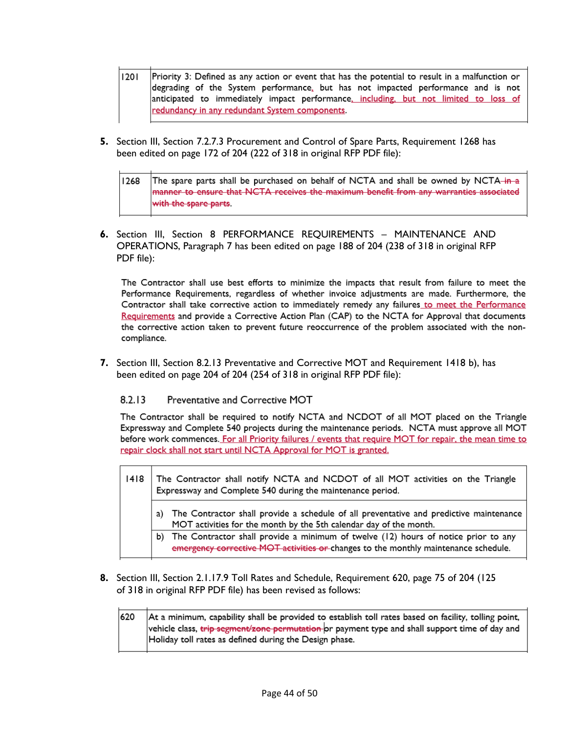- $1201$ Priority 3: Defined as any action or event that has the potential to result in a malfunction or degrading of the System performance, but has not impacted performance and is not anticipated to immediately impact performance, including, but not limited to loss of redundancy in any redundant System components.
- **5.** Section III, Section 7.2.7.3 Procurement and Control of Spare Parts, Requirement 1268 has been edited on page 172 of 204 (222 of 318 in original RFP PDF file):

| 1268 | The spare parts shall be purchased on behalf of NCTA and shall be owned by NCTA-in-a   |
|------|----------------------------------------------------------------------------------------|
|      | manner to ensure that NCTA receives the maximum benefit from any warranties associated |
|      | with the spare parts.                                                                  |

**6.** Section III, Section 8 PERFORMANCE REQUIREMENTS – MAINTENANCE AND OPERATIONS, Paragraph 7 has been edited on page 188 of 204 (238 of 318 in original RFP PDF file):

The Contractor shall use best efforts to minimize the impacts that result from failure to meet the Performance Requirements, regardless of whether invoice adjustments are made. Furthermore, the Contractor shall take corrective action to immediately remedy any failures\_to meet the Performance Requirements and provide a Corrective Action Plan (CAP) to the NCTA for Approval that documents the corrective action taken to prevent future reoccurrence of the problem associated with the noncompliance.

**7.** Section III, Section 8.2.13 Preventative and Corrective MOT and Requirement 1418 b), has been edited on page 204 of 204 (254 of 318 in original RFP PDF file):

#### $8.2.13$ Preventative and Corrective MOT

The Contractor shall be required to notify NCTA and NCDOT of all MOT placed on the Triangle Expressway and Complete 540 projects during the maintenance periods. NCTA must approve all MOT before work commences. For all Priority failures / events that require MOT for repair, the mean time to repair clock shall not start until NCTA Approval for MOT is granted.

| 1418 | The Contractor shall notify NCTA and NCDOT of all MOT activities on the Triangle<br>Expressway and Complete 540 during the maintenance period.                                   |  |  |
|------|----------------------------------------------------------------------------------------------------------------------------------------------------------------------------------|--|--|
|      | The Contractor shall provide a schedule of all preventative and predictive maintenance<br>MOT activities for the month by the 5th calendar day of the month.                     |  |  |
|      | The Contractor shall provide a minimum of twelve (12) hours of notice prior to any<br>b).<br>emergency corrective MOT activities or changes to the monthly maintenance schedule. |  |  |

**8.** Section III, Section 2.1.17.9 Toll Rates and Schedule, Requirement 620, page 75 of 204 (125 of 318 in original RFP PDF file) has been revised as follows:

620 At a minimum, capability shall be provided to establish toll rates based on facility, tolling point, vehicle class, <del>trip segment/zone permutation o</del>r payment type and shall support time of day and Holiday toll rates as defined during the Design phase.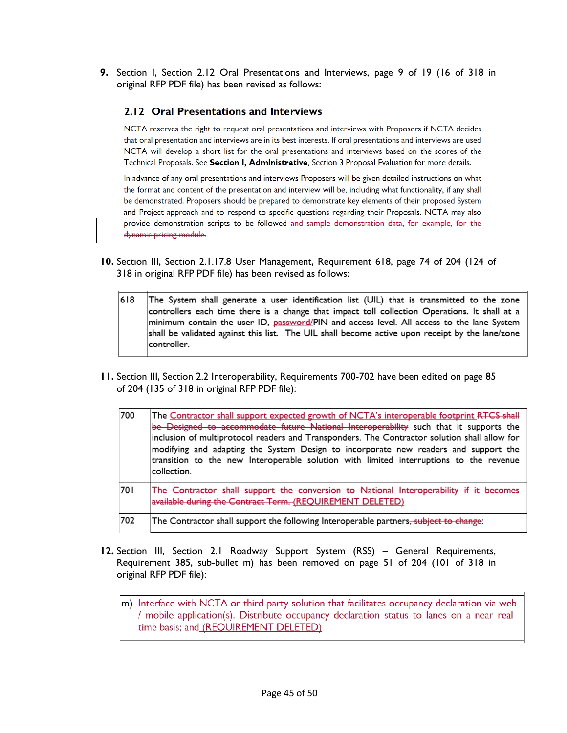**9.** Section I, Section 2.12 Oral Presentations and Interviews, page 9 of 19 (16 of 318 in original RFP PDF file) has been revised as follows:

### 2.12 Oral Presentations and Interviews

NCTA reserves the right to request oral presentations and interviews with Proposers if NCTA decides that oral presentation and interviews are in its best interests. If oral presentations and interviews are used NCTA will develop a short list for the oral presentations and interviews based on the scores of the Technical Proposals. See Section I, Administrative, Section 3 Proposal Evaluation for more details.

In advance of any oral presentations and interviews Proposers will be given detailed instructions on what the format and content of the presentation and interview will be, including what functionality, if any shall be demonstrated. Proposers should be prepared to demonstrate key elements of their proposed System and Project approach and to respond to specific questions regarding their Proposals. NCTA may also provide demonstration scripts to be followed-and sample demonstration data, for example, for the dynamic pricing module.

- **10.** Section III, Section 2.1.17.8 User Management, Requirement 618, page 74 of 204 (124 of 318 in original RFP PDF file) has been revised as follows:
	- 618 The System shall generate a user identification list (UIL) that is transmitted to the zone controllers each time there is a change that impact toll collection Operations. It shall at a minimum contain the user ID, password/PIN and access level. All access to the lane System shall be validated against this list. The UIL shall become active upon receipt by the lane/zone controller.
- **11.** Section III, Section 2.2 Interoperability, Requirements 700-702 have been edited on page 85 of 204 (135 of 318 in original RFP PDF file):

| 700 | The Contractor shall support expected growth of NCTA's interoperable footprint RTCS shall<br>be Designed to accommodate future National Interoperability such that it supports the<br>inclusion of multiprotocol readers and Transponders. The Contractor solution shall allow for<br>modifying and adapting the System Design to incorporate new readers and support the<br>transition to the new Interoperable solution with limited interruptions to the revenue<br>lcollection. |
|-----|-------------------------------------------------------------------------------------------------------------------------------------------------------------------------------------------------------------------------------------------------------------------------------------------------------------------------------------------------------------------------------------------------------------------------------------------------------------------------------------|
| 701 | The Contractor shall support the conversion to National Interoperability if it becomes<br>available during the Contract Term. (REQUIREMENT DELETED)                                                                                                                                                                                                                                                                                                                                 |
| 702 | The Contractor shall support the following Interoperable partners <del>, subject to change</del> :                                                                                                                                                                                                                                                                                                                                                                                  |

- **12.** Section III, Section 2.1 Roadway Support System (RSS) General Requirements, Requirement 385, sub-bullet m) has been removed on page 51 of 204 (101 of 318 in original RFP PDF file):
	- m) Interface with NCTA or third party solution that facilitates occupancy declaration via web / mobile application(s). Distribute occupancy declaration status to lanes on a near realtime basis; and (REQUIREMENT DELETED)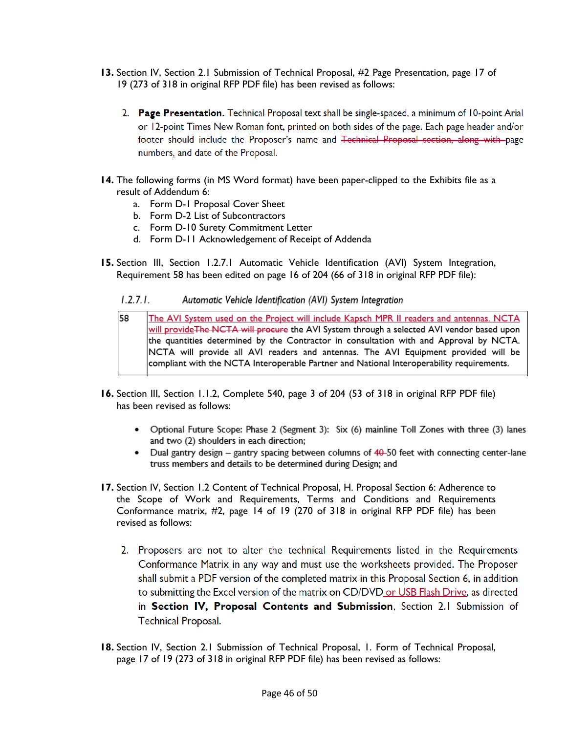- **13.** Section IV, Section 2.1 Submission of Technical Proposal, #2 Page Presentation, page 17 of 19 (273 of 318 in original RFP PDF file) has been revised as follows:
	- 2. Page Presentation. Technical Proposal text shall be single-spaced, a minimum of 10-point Arial or 12-point Times New Roman font, printed on both sides of the page. Each page header and/or footer should include the Proposer's name and <del>Technical Proposal section, along with p</del>age numbers, and date of the Proposal.
- **14.** The following forms (in MS Word format) have been paper-clipped to the Exhibits file as a result of Addendum 6:
	- a. Form D-1 Proposal Cover Sheet
	- b. Form D-2 List of Subcontractors
	- c. Form D-10 Surety Commitment Letter
	- d. Form D-11 Acknowledgement of Receipt of Addenda
- **15.** Section III, Section 1.2.7.1 Automatic Vehicle Identification (AVI) System Integration, Requirement 58 has been edited on page 16 of 204 (66 of 318 in original RFP PDF file):
	- $1.2.7.1.$ Automatic Vehicle Identification (AVI) System Integration
	- 58 The AVI System used on the Project will include Kapsch MPR II readers and antennas. NCTA will provide The NCTA will procure the AVI System through a selected AVI vendor based upon the quantities determined by the Contractor in consultation with and Approval by NCTA. NCTA will provide all AVI readers and antennas. The AVI Equipment provided will be compliant with the NCTA Interoperable Partner and National Interoperability requirements.
- **16.** Section III, Section 1.1.2, Complete 540, page 3 of 204 (53 of 318 in original RFP PDF file) has been revised as follows:
	- Optional Future Scope: Phase 2 (Segment 3): Six (6) mainline Toll Zones with three (3) lanes and two (2) shoulders in each direction;
	- Dual gantry design gantry spacing between columns of 40-50 feet with connecting center-lane truss members and details to be determined during Design; and
- **17.** Section IV, Section 1.2 Content of Technical Proposal, H. Proposal Section 6: Adherence to the Scope of Work and Requirements, Terms and Conditions and Requirements Conformance matrix, #2, page 14 of 19 (270 of 318 in original RFP PDF file) has been revised as follows:
	- 2. Proposers are not to alter the technical Requirements listed in the Requirements Conformance Matrix in any way and must use the worksheets provided. The Proposer shall submit a PDF version of the completed matrix in this Proposal Section 6, in addition to submitting the Excel version of the matrix on CD/DVD or USB Flash Drive, as directed in Section IV, Proposal Contents and Submission, Section 2.1 Submission of **Technical Proposal.**
- **18.** Section IV, Section 2.1 Submission of Technical Proposal, 1. Form of Technical Proposal, page 17 of 19 (273 of 318 in original RFP PDF file) has been revised as follows: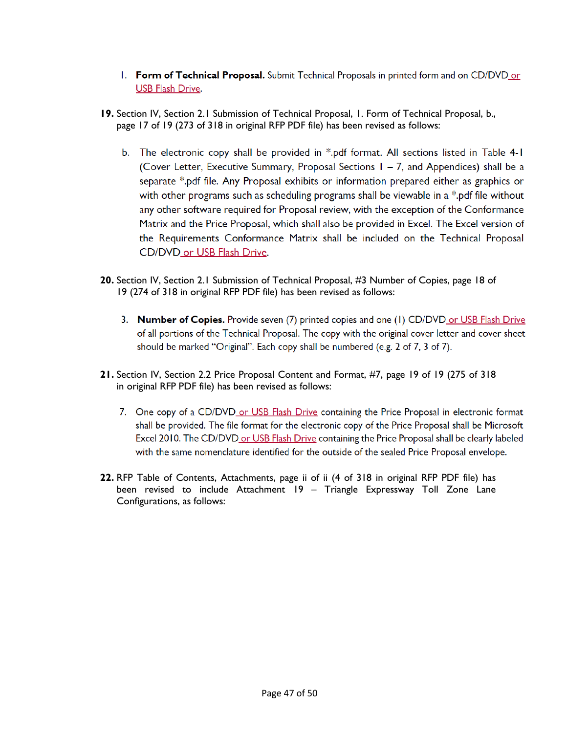- 1. Form of Technical Proposal. Submit Technical Proposals in printed form and on CD/DVD or **USB Flash Drive.**
- **19.** Section IV, Section 2.1 Submission of Technical Proposal, 1. Form of Technical Proposal, b., page 17 of 19 (273 of 318 in original RFP PDF file) has been revised as follows:
	- b. The electronic copy shall be provided in \*.pdf format. All sections listed in Table 4-1 (Cover Letter, Executive Summary, Proposal Sections 1 – 7, and Appendices) shall be a separate \*.pdf file. Any Proposal exhibits or information prepared either as graphics or with other programs such as scheduling programs shall be viewable in a \*.pdf file without any other software required for Proposal review, with the exception of the Conformance Matrix and the Price Proposal, which shall also be provided in Excel. The Excel version of the Requirements Conformance Matrix shall be included on the Technical Proposal CD/DVD\_or USB Flash Drive.
- **20.** Section IV, Section 2.1 Submission of Technical Proposal, #3 Number of Copies, page 18 of 19 (274 of 318 in original RFP PDF file) has been revised as follows:
	- 3. Number of Copies. Provide seven (7) printed copies and one (1) CD/DVD or USB Flash Drive of all portions of the Technical Proposal. The copy with the original cover letter and cover sheet should be marked "Original". Each copy shall be numbered (e.g. 2 of 7, 3 of 7).
- **21.** Section IV, Section 2.2 Price Proposal Content and Format, #7, page 19 of 19 (275 of 318 in original RFP PDF file) has been revised as follows:
	- 7. One copy of a CD/DVD or USB Flash Drive containing the Price Proposal in electronic format shall be provided. The file format for the electronic copy of the Price Proposal shall be Microsoft Excel 2010. The CD/DVD or USB Flash Drive containing the Price Proposal shall be clearly labeled with the same nomenclature identified for the outside of the sealed Price Proposal envelope.
- **22.** RFP Table of Contents, Attachments, page ii of ii (4 of 318 in original RFP PDF file) has been revised to include Attachment 19 – Triangle Expressway Toll Zone Lane Configurations, as follows: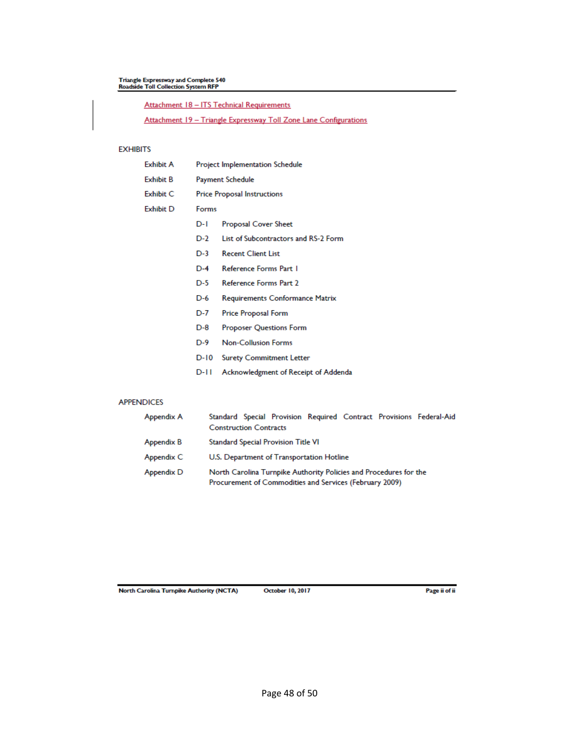# Triangle Expressway and Complete 540<br>Roadside Toll Collection System RFP

Attachment 18 - ITS Technical Requirements

Attachment 19 - Triangle Expressway Toll Zone Lane Configurations

### **EXHIBITS**

| Exhibit A        | Project Implementation Schedule    |                                      |  |
|------------------|------------------------------------|--------------------------------------|--|
| <b>Exhibit B</b> | Payment Schedule                   |                                      |  |
| <b>Exhibit C</b> | <b>Price Proposal Instructions</b> |                                      |  |
| <b>Exhibit D</b> | Forms                              |                                      |  |
|                  | D-I                                | Proposal Cover Sheet                 |  |
|                  | D-2                                | List of Subcontractors and RS-2 Form |  |
|                  | $D-3$                              | <b>Recent Client List</b>            |  |
|                  | $D-4$                              | Reference Forms Part 1               |  |
|                  | $D-5$                              | Reference Forms Part 2               |  |
|                  | D-6                                | Requirements Conformance Matrix      |  |
|                  | D-7                                | Price Proposal Form                  |  |
|                  | $D-8$                              | <b>Proposer Questions Form</b>       |  |
|                  | D-9                                | <b>Non-Collusion Forms</b>           |  |
|                  | D-10                               | <b>Surety Commitment Letter</b>      |  |
|                  | D-II                               | Acknowledgment of Receipt of Addenda |  |

### **APPENDICES**

| Appendix A | Standard Special Provision Required Contract Provisions Federal-Aid<br><b>Construction Contracts</b>                         |  |  |  |
|------------|------------------------------------------------------------------------------------------------------------------------------|--|--|--|
| Appendix B | Standard Special Provision Title VI                                                                                          |  |  |  |
| Appendix C | U.S. Department of Transportation Hotline                                                                                    |  |  |  |
| Appendix D | North Carolina Turnpike Authority Policies and Procedures for the<br>Procurement of Commodities and Services (February 2009) |  |  |  |

North Carolina Turnpike Authority (NCTA)

**October 10, 2017**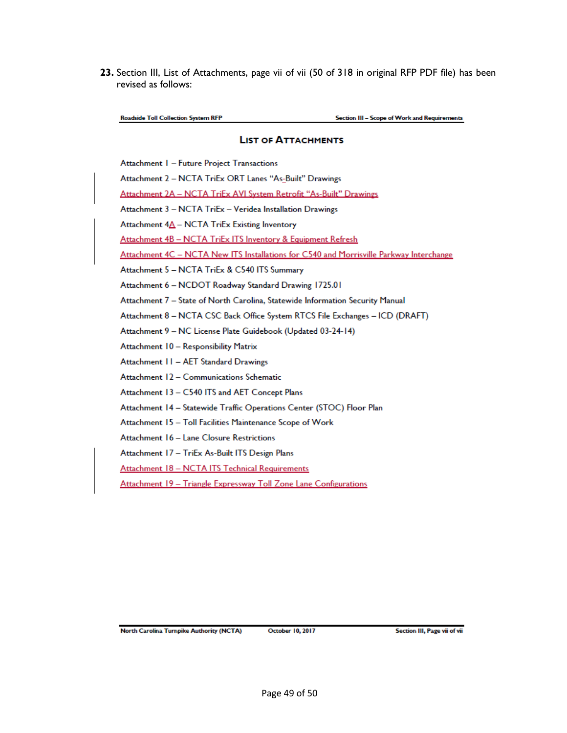**23.** Section III, List of Attachments, page vii of vii (50 of 318 in original RFP PDF file) has been revised as follows:

**Roadside Toll Collection System RFP** 

Section III - Scope of Work and Requirements

### **LIST OF ATTACHMENTS**

Attachment 1 - Future Project Transactions

Attachment 2 - NCTA TriEx ORT Lanes "As-Built" Drawings

Attachment 2A - NCTA TriEx AVI System Retrofit "As-Built" Drawings

Attachment 3 - NCTA TriEx - Veridea Installation Drawings

Attachment 4A - NCTA TriEx Existing Inventory

Attachment 4B - NCTA TriEx ITS Inventory & Equipment Refresh

Attachment 4C - NCTA New ITS Installations for C540 and Morrisville Parkway Interchange

Attachment 5 - NCTA TriEx & C540 ITS Summary

Attachment 6 - NCDOT Roadway Standard Drawing 1725.01

Attachment 7 - State of North Carolina, Statewide Information Security Manual

Attachment 8 - NCTA CSC Back Office System RTCS File Exchanges - ICD (DRAFT)

Attachment 9 - NC License Plate Guidebook (Updated 03-24-14)

Attachment 10 - Responsibility Matrix

Attachment 11 - AET Standard Drawings

Attachment 12 - Communications Schematic

Attachment 13 - C540 ITS and AET Concept Plans

Attachment 14 - Statewide Traffic Operations Center (STOC) Floor Plan

Attachment 15 - Toll Facilities Maintenance Scope of Work

Attachment 16 - Lane Closure Restrictions

Attachment 17 - TriEx As-Built ITS Design Plans

Attachment 18 - NCTA ITS Technical Requirements

Attachment 19 - Triangle Expressway Toll Zone Lane Configurations

North Carolina Turnpike Authority (NCTA)

October 10, 2017

Section III, Page vii of vii